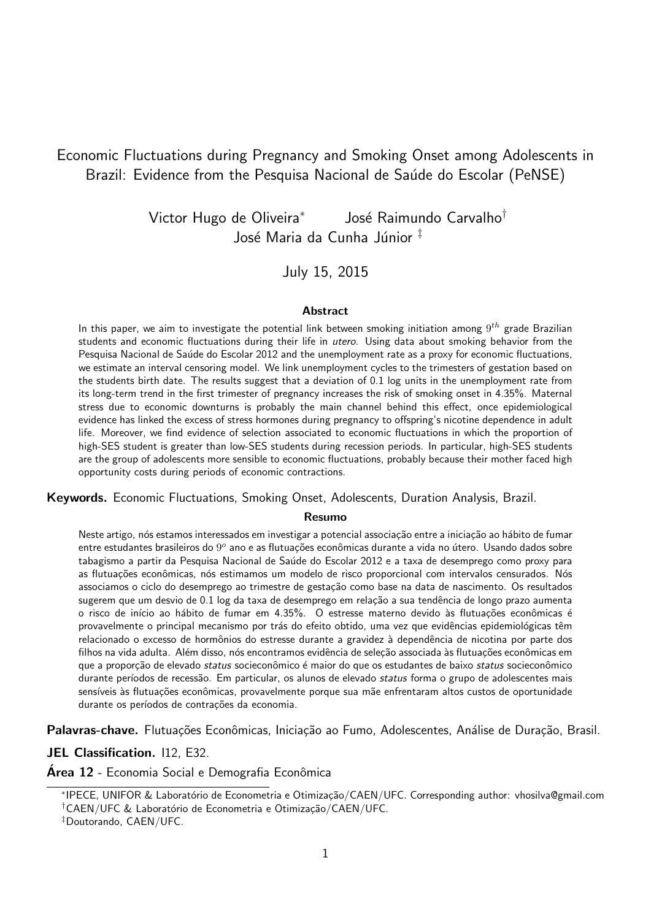## Economic Fluctuations during Pregnancy and Smoking Onset among Adolescents in Brazil: Evidence from the Pesquisa Nacional de Saúde do Escolar (PeNSE)

Victor Hugo de Oliveira<sup>∗</sup> José Raimundo Carvalho<sup>†</sup> José Maria da Cunha Júnior <sup>‡</sup>

#### July 15, 2015

#### **Abstract**

In this paper, we aim to investigate the potential link between smoking initiation among  $9^{th}$  grade Brazilian students and economic fluctuations during their life in *utero*. Using data about smoking behavior from the Pesquisa Nacional de Saúde do Escolar 2012 and the unemployment rate as a proxy for economic fluctuations, we estimate an interval censoring model. We link unemployment cycles to the trimesters of gestation based on the students birth date. The results suggest that a deviation of 0.1 log units in the unemployment rate from its long-term trend in the first trimester of pregnancy increases the risk of smoking onset in 4.35%. Maternal stress due to economic downturns is probably the main channel behind this effect, once epidemiological evidence has linked the excess of stress hormones during pregnancy to offspring's nicotine dependence in adult life. Moreover, we find evidence of selection associated to economic fluctuations in which the proportion of high-SES student is greater than low-SES students during recession periods. In particular, high-SES students are the group of adolescents more sensible to economic fluctuations, probably because their mother faced high opportunity costs during periods of economic contractions.

Keywords. Economic Fluctuations, Smoking Onset, Adolescents, Duration Analysis, Brazil.

#### Resumo

Neste artigo, nós estamos interessados em investigar a potencial associação entre a iniciação ao hábito de fumar entre estudantes brasileiros do 9º ano e as flutuações econômicas durante a vida no útero. Usando dados sobre tabagismo a partir da Pesquisa Nacional de Saúde do Escolar 2012 e a taxa de desemprego como proxy para as flutuações econômicas, nós estimamos um modelo de risco proporcional com intervalos censurados. Nós associamos o ciclo do desemprego ao trimestre de gestação como base na data de nascimento. Os resultados sugerem que um desvio de 0.1 log da taxa de desemprego em relação a sua tendência de longo prazo aumenta o risco de início ao hábito de fumar em 4.35%. O estresse materno devido às flutuações econômicas é provavelmente o principal mecanismo por trás do efeito obtido, uma vez que evidências epidemiológicas têm relacionado o excesso de hormônios do estresse durante a gravidez à dependência de nicotina por parte dos filhos na vida adulta. Além disso, nós encontramos evidência de seleção associada às flutuações econômicas em que a proporção de elevado *status* socieconômico é maior do que os estudantes de baixo *status* socieconômico durante períodos de recessão. Em particular, os alunos de elevado status forma o grupo de adolescentes mais sensíveis às flutuações econômicas, provavelmente porque sua mãe enfrentaram altos custos de oportunidade durante os períodos de contrações da economia.

Palavras-chave. Flutuações Econômicas, Iniciação ao Fumo, Adolescentes, Análise de Duração, Brasil.

JEL Classification. 112, E32.

Área 12 - Economia Social e Demografia Econômica

<sup>\*</sup>IPECE, UNIFOR & Laboratório de Econometria e Otimização/CAEN/UFC. Corresponding author: vhosilva@gmail.com <sup>†</sup>CAEN/UFC & Laboratório de Econometria e Otimização/CAEN/UFC.

<sup>‡</sup>Doutorando, CAEN/UFC.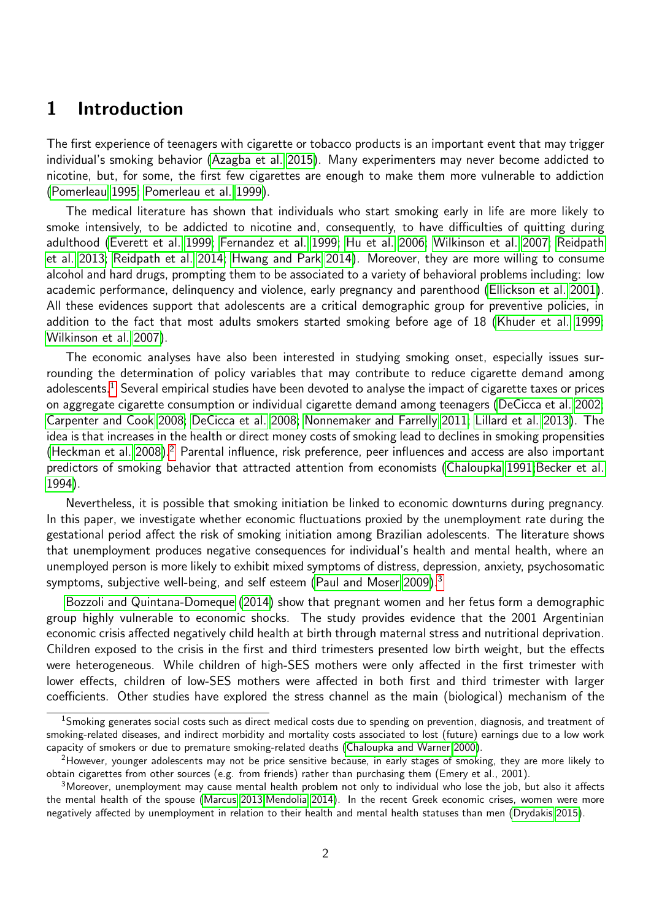## <span id="page-1-3"></span>1 Introduction

The first experience of teenagers with cigarette or tobacco products is an important event that may trigger individual's smoking behavior [\(Azagba et al. 2015\)](#page-15-0). Many experimenters may never become addicted to nicotine, but, for some, the first few cigarettes are enough to make them more vulnerable to addiction [\(Pomerleau 1995;](#page-17-0) [Pomerleau et al. 1999\)](#page-17-1).

The medical literature has shown that individuals who start smoking early in life are more likely to smoke intensively, to be addicted to nicotine and, consequently, to have difficulties of quitting during adulthood [\(Everett et al. 1999;](#page-16-0) [Fernandez et al. 1999;](#page-16-1) [Hu et al. 2006;](#page-17-2) [Wilkinson et al. 2007;](#page-18-0) [Reidpath](#page-17-3) [et al. 2013;](#page-17-3) [Reidpath et al. 2014;](#page-18-1) [Hwang and Park 2014\)](#page-17-4). Moreover, they are more willing to consume alcohol and hard drugs, prompting them to be associated to a variety of behavioral problems including: low academic performance, delinquency and violence, early pregnancy and parenthood [\(Ellickson et al. 2001\)](#page-16-2). All these evidences support that adolescents are a critical demographic group for preventive policies, in addition to the fact that most adults smokers started smoking before age of 18 [\(Khuder et al. 1999;](#page-17-5) [Wilkinson et al. 2007\)](#page-18-0).

The economic analyses have also been interested in studying smoking onset, especially issues surrounding the determination of policy variables that may contribute to reduce cigarette demand among adolescents.<sup>[1](#page-1-0)</sup> Several empirical studies have been devoted to analyse the impact of cigarette taxes or prices on aggregate cigarette consumption or individual cigarette demand among teenagers [\(DeCicca et al. 2002;](#page-16-3) [Carpenter and Cook 2008;](#page-15-1) [DeCicca et al. 2008;](#page-16-4) [Nonnemaker and Farrelly 2011;](#page-17-6) [Lillard et al. 2013\)](#page-17-7). The idea is that increases in the health or direct money costs of smoking lead to declines in smoking propensities [\(Heckman et al. 2008\)](#page-17-8).<sup>[2](#page-1-1)</sup> Parental influence, risk preference, peer influences and access are also important predictors of smoking behavior that attracted attention from economists [\(Chaloupka 1991;](#page-15-2)[Becker et al.](#page-15-3) [1994\)](#page-15-3).

Nevertheless, it is possible that smoking initiation be linked to economic downturns during pregnancy. In this paper, we investigate whether economic fluctuations proxied by the unemployment rate during the gestational period affect the risk of smoking initiation among Brazilian adolescents. The literature shows that unemployment produces negative consequences for individual's health and mental health, where an unemployed person is more likely to exhibit mixed symptoms of distress, depression, anxiety, psychosomatic symptoms, subjective well-being, and self esteem [\(Paul and Moser 2009\)](#page-17-9).<sup>[3](#page-1-2)</sup>

[Bozzoli and Quintana-Domeque](#page-15-4) [\(2014\)](#page-15-4) show that pregnant women and her fetus form a demographic group highly vulnerable to economic shocks. The study provides evidence that the 2001 Argentinian economic crisis affected negatively child health at birth through maternal stress and nutritional deprivation. Children exposed to the crisis in the first and third trimesters presented low birth weight, but the effects were heterogeneous. While children of high-SES mothers were only affected in the first trimester with lower effects, children of low-SES mothers were affected in both first and third trimester with larger coefficients. Other studies have explored the stress channel as the main (biological) mechanism of the

<span id="page-1-0"></span> $1$ Smoking generates social costs such as direct medical costs due to spending on prevention, diagnosis, and treatment of smoking-related diseases, and indirect morbidity and mortality costs associated to lost (future) earnings due to a low work capacity of smokers or due to premature smoking-related deaths [\(Chaloupka and Warner 2000\)](#page-15-5).

<span id="page-1-1"></span><sup>&</sup>lt;sup>2</sup>However, younger adolescents may not be price sensitive because, in early stages of smoking, they are more likely to obtain cigarettes from other sources (e.g. from friends) rather than purchasing them (Emery et al., 2001).

<span id="page-1-2"></span><sup>3</sup>Moreover, unemployment may cause mental health problem not only to individual who lose the job, but also it affects the mental health of the spouse [\(Marcus 2013;](#page-17-10)[Mendolia 2014\)](#page-17-11). In the recent Greek economic crises, women were more negatively affected by unemployment in relation to their health and mental health statuses than men [\(Drydakis 2015\)](#page-16-5).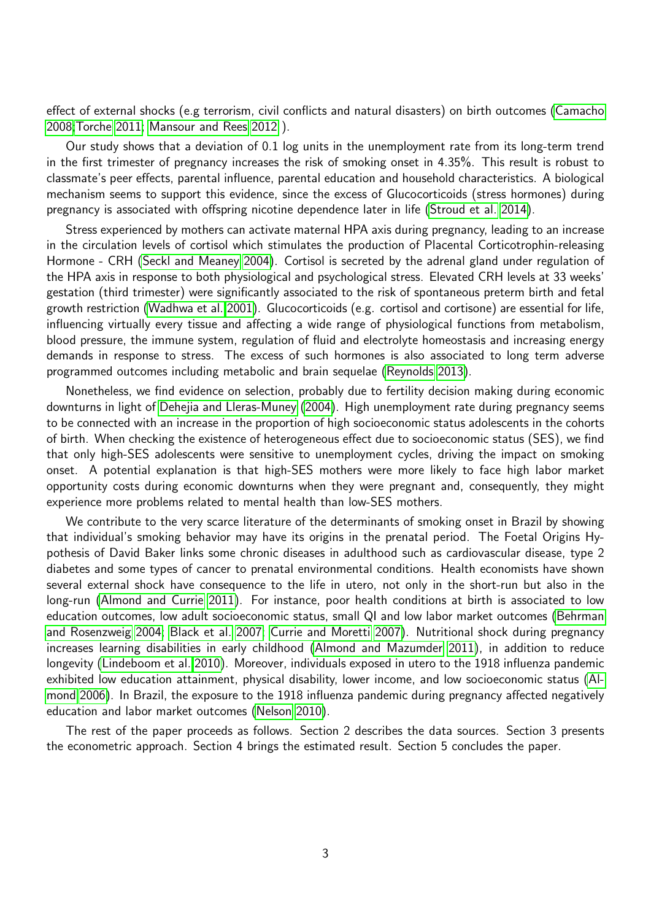<span id="page-2-0"></span>effect of external shocks (e.g terrorism, civil conflicts and natural disasters) on birth outcomes [\(Camacho](#page-15-6) [2008](#page-15-6)[;Torche 2011;](#page-18-2) [Mansour and Rees 2012](#page-17-12) ).

Our study shows that a deviation of 0.1 log units in the unemployment rate from its long-term trend in the first trimester of pregnancy increases the risk of smoking onset in 4.35%. This result is robust to classmate's peer effects, parental influence, parental education and household characteristics. A biological mechanism seems to support this evidence, since the excess of Glucocorticoids (stress hormones) during pregnancy is associated with offspring nicotine dependence later in life [\(Stroud et al. 2014\)](#page-18-3).

Stress experienced by mothers can activate maternal HPA axis during pregnancy, leading to an increase in the circulation levels of cortisol which stimulates the production of Placental Corticotrophin-releasing Hormone - CRH [\(Seckl and Meaney 2004\)](#page-18-4). Cortisol is secreted by the adrenal gland under regulation of the HPA axis in response to both physiological and psychological stress. Elevated CRH levels at 33 weeks' gestation (third trimester) were significantly associated to the risk of spontaneous preterm birth and fetal growth restriction [\(Wadhwa et al. 2001\)](#page-18-5). Glucocorticoids (e.g. cortisol and cortisone) are essential for life, influencing virtually every tissue and affecting a wide range of physiological functions from metabolism, blood pressure, the immune system, regulation of fluid and electrolyte homeostasis and increasing energy demands in response to stress. The excess of such hormones is also associated to long term adverse programmed outcomes including metabolic and brain sequelae [\(Reynolds 2013\)](#page-18-6).

Nonetheless, we find evidence on selection, probably due to fertility decision making during economic downturns in light of [Dehejia and Lleras-Muney](#page-16-6) [\(2004\)](#page-16-6). High unemployment rate during pregnancy seems to be connected with an increase in the proportion of high socioeconomic status adolescents in the cohorts of birth. When checking the existence of heterogeneous effect due to socioeconomic status (SES), we find that only high-SES adolescents were sensitive to unemployment cycles, driving the impact on smoking onset. A potential explanation is that high-SES mothers were more likely to face high labor market opportunity costs during economic downturns when they were pregnant and, consequently, they might experience more problems related to mental health than low-SES mothers.

We contribute to the very scarce literature of the determinants of smoking onset in Brazil by showing that individual's smoking behavior may have its origins in the prenatal period. The Foetal Origins Hypothesis of David Baker links some chronic diseases in adulthood such as cardiovascular disease, type 2 diabetes and some types of cancer to prenatal environmental conditions. Health economists have shown several external shock have consequence to the life in utero, not only in the short-run but also in the long-run [\(Almond and Currie 2011\)](#page-15-7). For instance, poor health conditions at birth is associated to low education outcomes, low adult socioeconomic status, small QI and low labor market outcomes [\(Behrman](#page-15-8) [and Rosenzweig 2004;](#page-15-8) [Black et al. 2007;](#page-15-9) [Currie and Moretti 2007\)](#page-15-10). Nutritional shock during pregnancy increases learning disabilities in early childhood [\(Almond and Mazumder 2011\)](#page-15-11), in addition to reduce longevity [\(Lindeboom et al. 2010\)](#page-17-13). Moreover, individuals exposed in utero to the 1918 influenza pandemic exhibited low education attainment, physical disability, lower income, and low socioeconomic status [\(Al](#page-15-12)[mond 2006\)](#page-15-12). In Brazil, the exposure to the 1918 influenza pandemic during pregnancy affected negatively education and labor market outcomes [\(Nelson 2010\)](#page-17-14).

The rest of the paper proceeds as follows. Section 2 describes the data sources. Section 3 presents the econometric approach. Section 4 brings the estimated result. Section 5 concludes the paper.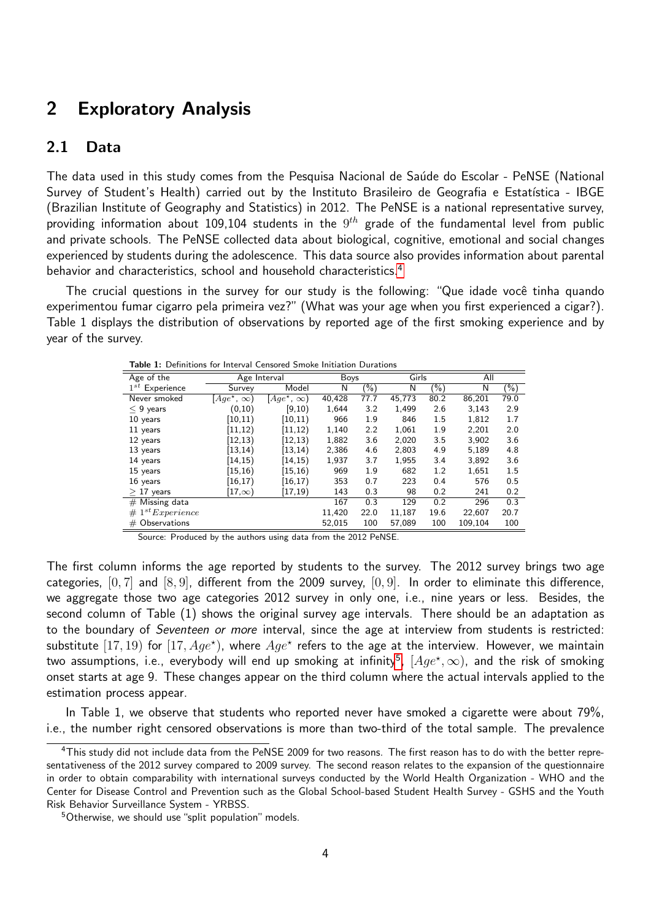# 2 Exploratory Analysis

## 2.1 Data

The data used in this study comes from the Pesquisa Nacional de Saúde do Escolar - PeNSE (National Survey of Student's Health) carried out by the Instituto Brasileiro de Geografia e Estatística - IBGE (Brazilian Institute of Geography and Statistics) in 2012. The PeNSE is a national representative survey, providing information about 109,104 students in the  $9^{th}$  grade of the fundamental level from public and private schools. The PeNSE collected data about biological, cognitive, emotional and social changes experienced by students during the adolescence. This data source also provides information about parental behavior and characteristics, school and household characteristics.<sup>[4](#page-3-0)</sup>

The crucial questions in the survey for our study is the following: "Que idade você tinha quando experimentou fumar cigarro pela primeira vez?" (What was your age when you first experienced a cigar?). Table 1 displays the distribution of observations by reported age of the first smoking experience and by year of the survey.

| Age of the               |                         | Age Interval            |        | <b>Boys</b> |        | Girls   |         |        |
|--------------------------|-------------------------|-------------------------|--------|-------------|--------|---------|---------|--------|
| $1^{st}$<br>Experience   | Survey                  | Model                   | N      | $(\%)$      | N      | $(\%)$  | N       | $(\%)$ |
| Never smoked             | $[Age^{\star}, \infty]$ | $[Age^{\star}, \infty)$ | 40,428 | 77.7        | 45,773 | 80.2    | 86,201  | 79.0   |
| $< 9$ years              | (0, 10)                 | [9, 10)                 | 1,644  | 3.2         | 1,499  | 2.6     | 3,143   | 2.9    |
| 10 years                 | (10, 11)                | [10, 11]                | 966    | 1.9         | 846    | $1.5\,$ | 1.812   | 1.7    |
| 11 years                 | (11, 12)                | [11, 12)                | 1,140  | 2.2         | 1,061  | 1.9     | 2,201   | 2.0    |
| 12 years                 | (12, 13)                | [12, 13)                | 1,882  | 3.6         | 2,020  | 3.5     | 3,902   | 3.6    |
| 13 years                 | (13, 14)                | [13, 14)                | 2,386  | 4.6         | 2,803  | 4.9     | 5,189   | 4.8    |
| 14 years                 | (14, 15)                | [14,15)                 | 1,937  | 3.7         | 1,955  | 3.4     | 3.892   | 3.6    |
| 15 years                 | (15, 16)                | [15, 16)                | 969    | 1.9         | 682    | 1.2     | 1,651   | 1.5    |
| 16 years                 | (16, 17)                | $\left[16,17\right)$    | 353    | 0.7         | 223    | 0.4     | 576     | 0.5    |
| $>17$ years              | $[17,\infty)$           | [17,19)                 | 143    | 0.3         | 98     | 0.2     | 241     | 0.2    |
| $#$ Missing data         |                         |                         | 167    | 0.3         | 129    | 0.2     | 296     | 0.3    |
| $1^{st}$ Experience<br># |                         |                         | 11,420 | 22.0        | 11,187 | 19.6    | 22,607  | 20.7   |
| $#$ Observations         |                         |                         | 52,015 | 100         | 57,089 | 100     | 109.104 | 100    |
|                          |                         |                         |        |             |        |         |         |        |

Table 1: Definitions for Interval Censored Smoke Initiation Durations

Source: Produced by the authors using data from the 2012 PeNSE.

The first column informs the age reported by students to the survey. The 2012 survey brings two age categories,  $[0, 7]$  and  $[8, 9]$ , different from the 2009 survey,  $[0, 9]$ . In order to eliminate this difference, we aggregate those two age categories 2012 survey in only one, i.e., nine years or less. Besides, the second column of Table (1) shows the original survey age intervals. There should be an adaptation as to the boundary of Seventeen or more interval, since the age at interview from students is restricted: substitute  $[17, 19)$  for  $[17, Age^*)$ , where  $Age^*$  refers to the age at the interview. However, we maintain two assumptions, i.e., everybody will end up smoking at infinity $^5$  $^5$ ,  $[Age^\star,\infty)$ , and the risk of smoking onset starts at age 9. These changes appear on the third column where the actual intervals applied to the estimation process appear.

In Table 1, we observe that students who reported never have smoked a cigarette were about 79%, i.e., the number right censored observations is more than two-third of the total sample. The prevalence

<span id="page-3-0"></span><sup>&</sup>lt;sup>4</sup>This study did not include data from the PeNSE 2009 for two reasons. The first reason has to do with the better representativeness of the 2012 survey compared to 2009 survey. The second reason relates to the expansion of the questionnaire in order to obtain comparability with international surveys conducted by the World Health Organization - WHO and the Center for Disease Control and Prevention such as the Global School-based Student Health Survey - GSHS and the Youth Risk Behavior Surveillance System - YRBSS.

<span id="page-3-1"></span><sup>5</sup>Otherwise, we should use "split population" models.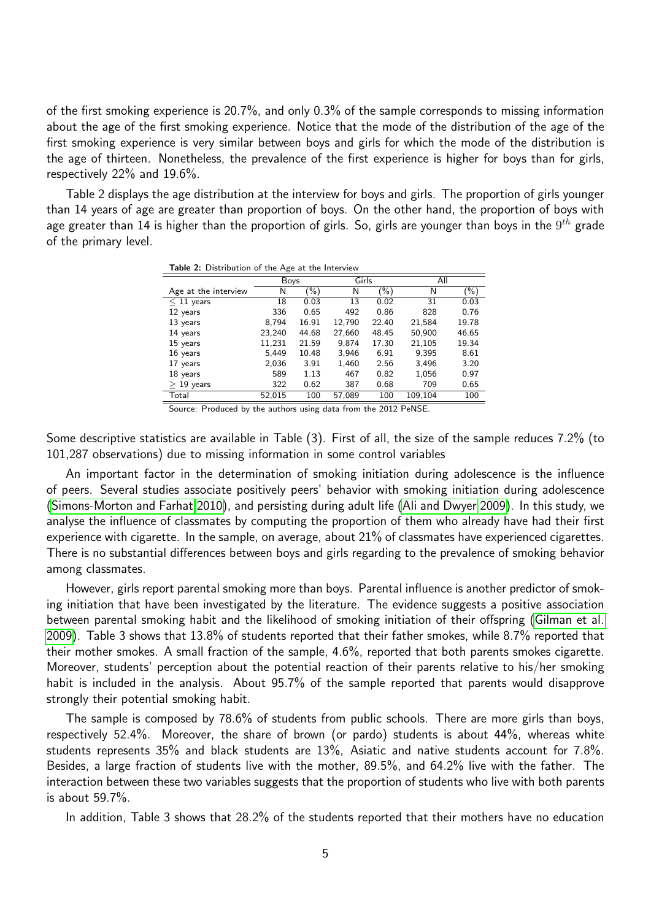<span id="page-4-0"></span>of the first smoking experience is 20.7%, and only 0.3% of the sample corresponds to missing information about the age of the first smoking experience. Notice that the mode of the distribution of the age of the first smoking experience is very similar between boys and girls for which the mode of the distribution is the age of thirteen. Nonetheless, the prevalence of the first experience is higher for boys than for girls, respectively 22% and 19.6%.

Table 2 displays the age distribution at the interview for boys and girls. The proportion of girls younger than 14 years of age are greater than proportion of boys. On the other hand, the proportion of boys with age greater than 14 is higher than the proportion of girls. So, girls are younger than boys in the  $9^{th}$  grade of the primary level.

| $5.501$ , $5.011$ , $5.010$ , $5.01$ , $5.01$ , $5.01$ , $5.01$ , $5.01$ |        |        |        |        |         |        |  |  |
|--------------------------------------------------------------------------|--------|--------|--------|--------|---------|--------|--|--|
|                                                                          | Boys   |        | Girls  |        | All     |        |  |  |
| Age at the interview                                                     | N      | $(\%)$ | N      | $(\%)$ | N       | $(\%)$ |  |  |
| $< 11$ years                                                             | 18     | 0.03   | 13     | 0.02   | 31      | 0.03   |  |  |
| 12 years                                                                 | 336    | 0.65   | 492    | 0.86   | 828     | 0.76   |  |  |
| 13 years                                                                 | 8,794  | 16.91  | 12,790 | 22.40  | 21,584  | 19.78  |  |  |
| 14 years                                                                 | 23,240 | 44.68  | 27,660 | 48.45  | 50,900  | 46.65  |  |  |
| 15 years                                                                 | 11,231 | 21.59  | 9,874  | 17.30  | 21,105  | 19.34  |  |  |
| 16 years                                                                 | 5,449  | 10.48  | 3.946  | 6.91   | 9,395   | 8.61   |  |  |
| 17 years                                                                 | 2,036  | 3.91   | 1,460  | 2.56   | 3,496   | 3.20   |  |  |
| 18 years                                                                 | 589    | 1.13   | 467    | 0.82   | 1,056   | 0.97   |  |  |
| $>$ 19 years                                                             | 322    | 0.62   | 387    | 0.68   | 709     | 0.65   |  |  |
| Total                                                                    | 52,015 | 100    | 57,089 | 100    | 109,104 | 100    |  |  |

Table 2: Distribution of the Age at the Interview

Source: Produced by the authors using data from the 2012 PeNSE.

Some descriptive statistics are available in Table (3). First of all, the size of the sample reduces 7.2% (to 101,287 observations) due to missing information in some control variables

An important factor in the determination of smoking initiation during adolescence is the influence of peers. Several studies associate positively peers' behavior with smoking initiation during adolescence [\(Simons-Morton and Farhat 2010\)](#page-18-7), and persisting during adult life [\(Ali and Dwyer 2009\)](#page-15-13). In this study, we analyse the influence of classmates by computing the proportion of them who already have had their first experience with cigarette. In the sample, on average, about 21% of classmates have experienced cigarettes. There is no substantial differences between boys and girls regarding to the prevalence of smoking behavior among classmates.

However, girls report parental smoking more than boys. Parental influence is another predictor of smoking initiation that have been investigated by the literature. The evidence suggests a positive association between parental smoking habit and the likelihood of smoking initiation of their offspring [\(Gilman et al.](#page-16-7) [2009\)](#page-16-7). Table 3 shows that 13.8% of students reported that their father smokes, while 8.7% reported that their mother smokes. A small fraction of the sample, 4.6%, reported that both parents smokes cigarette. Moreover, students' perception about the potential reaction of their parents relative to his/her smoking habit is included in the analysis. About 95.7% of the sample reported that parents would disapprove strongly their potential smoking habit.

The sample is composed by 78.6% of students from public schools. There are more girls than boys, respectively 52.4%. Moreover, the share of brown (or pardo) students is about 44%, whereas white students represents 35% and black students are 13%, Asiatic and native students account for 7.8%. Besides, a large fraction of students live with the mother, 89.5%, and 64.2% live with the father. The interaction between these two variables suggests that the proportion of students who live with both parents is about 59.7%.

In addition, Table 3 shows that 28.2% of the students reported that their mothers have no education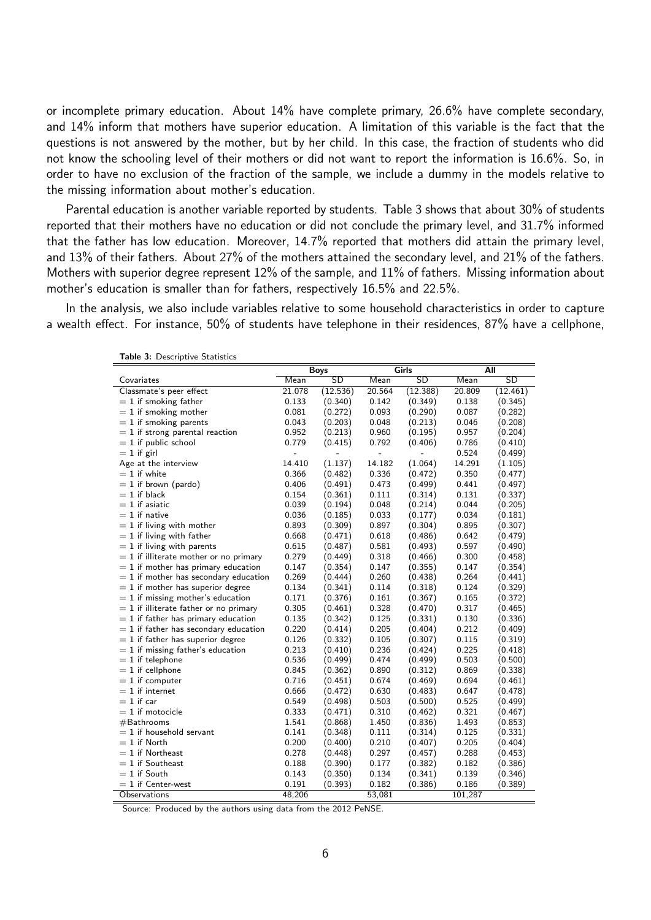or incomplete primary education. About 14% have complete primary, 26.6% have complete secondary, and 14% inform that mothers have superior education. A limitation of this variable is the fact that the questions is not answered by the mother, but by her child. In this case, the fraction of students who did not know the schooling level of their mothers or did not want to report the information is 16.6%. So, in order to have no exclusion of the fraction of the sample, we include a dummy in the models relative to the missing information about mother's education.

Parental education is another variable reported by students. Table 3 shows that about 30% of students reported that their mothers have no education or did not conclude the primary level, and 31.7% informed that the father has low education. Moreover, 14.7% reported that mothers did attain the primary level, and 13% of their fathers. About 27% of the mothers attained the secondary level, and 21% of the fathers. Mothers with superior degree represent 12% of the sample, and 11% of fathers. Missing information about mother's education is smaller than for fathers, respectively 16.5% and 22.5%.

In the analysis, we also include variables relative to some household characteristics in order to capture a wealth effect. For instance, 50% of students have telephone in their residences, 87% have a cellphone,

| rable J. Descriptive Statistics          |             |           |        |           |            |           |  |  |
|------------------------------------------|-------------|-----------|--------|-----------|------------|-----------|--|--|
|                                          | <b>Boys</b> |           | Girls  |           | <b>All</b> |           |  |  |
| Covariates                               | Mean        | <b>SD</b> | Mean   | <b>SD</b> | Mean       | <b>SD</b> |  |  |
| Classmate's peer effect                  | 21.078      | (12.536)  | 20.564 | (12.388)  | 20.809     | (12.461)  |  |  |
| $= 1$ if smoking father                  | 0.133       | (0.340)   | 0.142  | (0.349)   | 0.138      | (0.345)   |  |  |
| $= 1$ if smoking mother                  | 0.081       | (0.272)   | 0.093  | (0.290)   | 0.087      | (0.282)   |  |  |
| $= 1$ if smoking parents                 | 0.043       | (0.203)   | 0.048  | (0.213)   | 0.046      | (0.208)   |  |  |
| $= 1$ if strong parental reaction        | 0.952       | (0.213)   | 0.960  | (0.195)   | 0.957      | (0.204)   |  |  |
| $= 1$ if public school                   | 0.779       | (0.415)   | 0.792  | (0.406)   | 0.786      | (0.410)   |  |  |
| $= 1$ if girl                            |             |           |        |           | 0.524      | (0.499)   |  |  |
| Age at the interview                     | 14.410      | (1.137)   | 14.182 | (1.064)   | 14.291     | (1.105)   |  |  |
| $= 1$ if white                           | 0.366       | (0.482)   | 0.336  | (0.472)   | 0.350      | (0.477)   |  |  |
| $= 1$ if brown (pardo)                   | 0.406       | (0.491)   | 0.473  | (0.499)   | 0.441      | (0.497)   |  |  |
| $= 1$ if black                           | 0.154       | (0.361)   | 0.111  | (0.314)   | 0.131      | (0.337)   |  |  |
| $= 1$ if asiatic                         | 0.039       | (0.194)   | 0.048  | (0.214)   | 0.044      | (0.205)   |  |  |
| $= 1$ if native                          | 0.036       | (0.185)   | 0.033  | (0.177)   | 0.034      | (0.181)   |  |  |
| $= 1$ if living with mother              | 0.893       | (0.309)   | 0.897  | (0.304)   | 0.895      | (0.307)   |  |  |
| $= 1$ if living with father              | 0.668       | (0.471)   | 0.618  | (0.486)   | 0.642      | (0.479)   |  |  |
| $= 1$ if living with parents             | 0.615       | (0.487)   | 0.581  | (0.493)   | 0.597      | (0.490)   |  |  |
| $= 1$ if illiterate mother or no primary | 0.279       | (0.449)   | 0.318  | (0.466)   | 0.300      | (0.458)   |  |  |
| $= 1$ if mother has primary education    | 0.147       | (0.354)   | 0.147  | (0.355)   | 0.147      | (0.354)   |  |  |
| $= 1$ if mother has secondary education  | 0.269       | (0.444)   | 0.260  | (0.438)   | 0.264      | (0.441)   |  |  |
| $= 1$ if mother has superior degree      | 0.134       | (0.341)   | 0.114  | (0.318)   | 0.124      | (0.329)   |  |  |
| $= 1$ if missing mother's education      | 0.171       | (0.376)   | 0.161  | (0.367)   | 0.165      | (0.372)   |  |  |
| $= 1$ if illiterate father or no primary | 0.305       | (0.461)   | 0.328  | (0.470)   | 0.317      | (0.465)   |  |  |
| $= 1$ if father has primary education    | 0.135       | (0.342)   | 0.125  | (0.331)   | 0.130      | (0.336)   |  |  |
| $= 1$ if father has secondary education  | 0.220       | (0.414)   | 0.205  | (0.404)   | 0.212      | (0.409)   |  |  |
| $= 1$ if father has superior degree      | 0.126       | (0.332)   | 0.105  | (0.307)   | 0.115      | (0.319)   |  |  |
| $= 1$ if missing father's education      | 0.213       | (0.410)   | 0.236  | (0.424)   | 0.225      | (0.418)   |  |  |
| $= 1$ if telephone                       | 0.536       | (0.499)   | 0.474  | (0.499)   | 0.503      | (0.500)   |  |  |
| $= 1$ if cellphone                       | 0.845       | (0.362)   | 0.890  | (0.312)   | 0.869      | (0.338)   |  |  |
| $= 1$ if computer                        | 0.716       | (0.451)   | 0.674  | (0.469)   | 0.694      | (0.461)   |  |  |
| $= 1$ if internet                        | 0.666       | (0.472)   | 0.630  | (0.483)   | 0.647      | (0.478)   |  |  |
| $= 1$ if car                             | 0.549       | (0.498)   | 0.503  | (0.500)   | 0.525      | (0.499)   |  |  |
| $= 1$ if motocicle                       | 0.333       | (0.471)   | 0.310  | (0.462)   | 0.321      | (0.467)   |  |  |
| #Bathrooms                               | 1.541       | (0.868)   | 1.450  | (0.836)   | 1.493      | (0.853)   |  |  |
| $= 1$ if household servant               | 0.141       | (0.348)   | 0.111  | (0.314)   | 0.125      | (0.331)   |  |  |
| $= 1$ if North                           | 0.200       | (0.400)   | 0.210  | (0.407)   | 0.205      | (0.404)   |  |  |
| $= 1$ if Northeast                       | 0.278       | (0.448)   | 0.297  | (0.457)   | 0.288      | (0.453)   |  |  |
| $= 1$ if Southeast                       | 0.188       | (0.390)   | 0.177  | (0.382)   | 0.182      | (0.386)   |  |  |
| $= 1$ if South                           | 0.143       | (0.350)   | 0.134  | (0.341)   | 0.139      | (0.346)   |  |  |
| $= 1$ if Center-west                     | 0.191       | (0.393)   | 0.182  | (0.386)   | 0.186      | (0.389)   |  |  |
| Observations                             | 48,206      |           | 53,081 |           | 101,287    |           |  |  |

Table 3: Descriptive Statistics

Source: Produced by the authors using data from the 2012 PeNSE.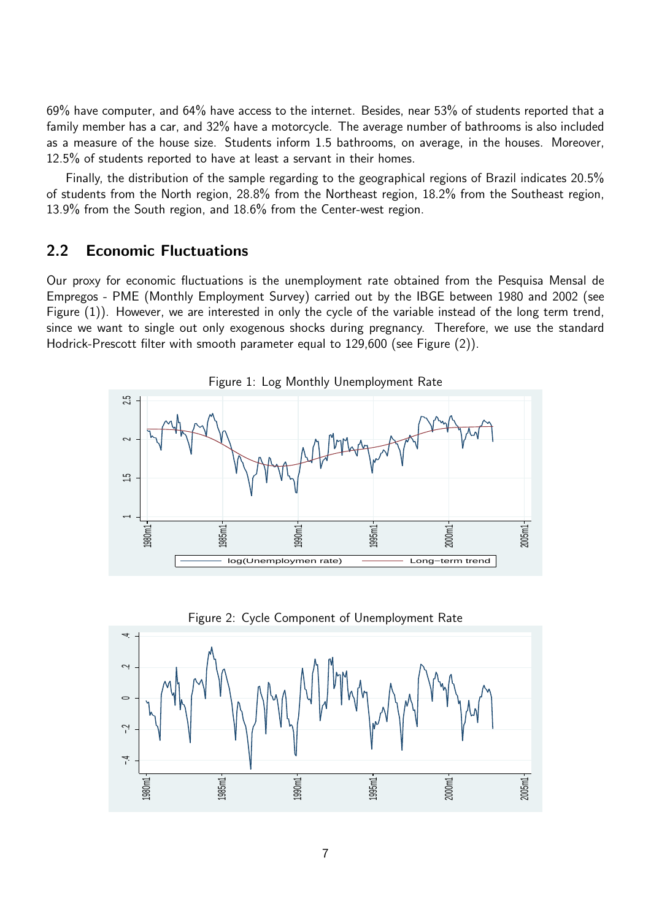69% have computer, and 64% have access to the internet. Besides, near 53% of students reported that a family member has a car, and 32% have a motorcycle. The average number of bathrooms is also included as a measure of the house size. Students inform 1.5 bathrooms, on average, in the houses. Moreover, 12.5% of students reported to have at least a servant in their homes.

Finally, the distribution of the sample regarding to the geographical regions of Brazil indicates 20.5% of students from the North region, 28.8% from the Northeast region, 18.2% from the Southeast region, 13.9% from the South region, and 18.6% from the Center-west region.

## 2.2 Economic Fluctuations

Our proxy for economic fluctuations is the unemployment rate obtained from the Pesquisa Mensal de Empregos - PME (Monthly Employment Survey) carried out by the IBGE between 1980 and 2002 (see Figure (1)). However, we are interested in only the cycle of the variable instead of the long term trend, since we want to single out only exogenous shocks during pregnancy. Therefore, we use the standard Hodrick-Prescott filter with smooth parameter equal to 129,600 (see Figure (2)).



Figure 2: Cycle Component of Unemployment Rate

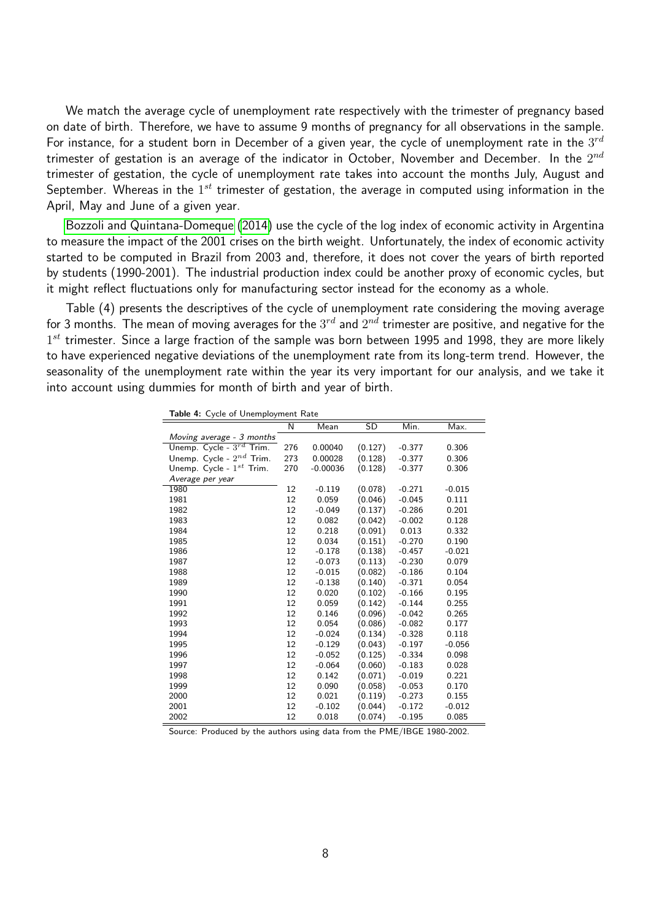<span id="page-7-0"></span>We match the average cycle of unemployment rate respectively with the trimester of pregnancy based on date of birth. Therefore, we have to assume 9 months of pregnancy for all observations in the sample. For instance, for a student born in December of a given year, the cycle of unemployment rate in the  $3^{rd}$ trimester of gestation is an average of the indicator in October, November and December. In the  $2^{nd}$ trimester of gestation, the cycle of unemployment rate takes into account the months July, August and September. Whereas in the  $1^{st}$  trimester of gestation, the average in computed using information in the April, May and June of a given year.

[Bozzoli and Quintana-Domeque](#page-15-4) [\(2014\)](#page-15-4) use the cycle of the log index of economic activity in Argentina to measure the impact of the 2001 crises on the birth weight. Unfortunately, the index of economic activity started to be computed in Brazil from 2003 and, therefore, it does not cover the years of birth reported by students (1990-2001). The industrial production index could be another proxy of economic cycles, but it might reflect fluctuations only for manufacturing sector instead for the economy as a whole.

Table (4) presents the descriptives of the cycle of unemployment rate considering the moving average for 3 months. The mean of moving averages for the  $3^{rd}$  and  $2^{nd}$  trimester are positive, and negative for the  $1^{st}$  trimester. Since a large fraction of the sample was born between 1995 and 1998, they are more likely to have experienced negative deviations of the unemployment rate from its long-term trend. However, the seasonality of the unemployment rate within the year its very important for our analysis, and we take it into account using dummies for month of birth and year of birth.

Table 4: Cycle of Unemployment Rate

|                               | N   | Mean       | SD      | Min.     | Max.     |
|-------------------------------|-----|------------|---------|----------|----------|
| Moving average - 3 months     |     |            |         |          |          |
| Unemp. Cycle - $3^{rd}$ Trim. | 276 | 0.00040    | (0.127) | $-0.377$ | 0.306    |
| Unemp. Cycle - $2^{nd}$ Trim. | 273 | 0.00028    | (0.128) | $-0.377$ | 0.306    |
| Unemp. Cycle - $1^{st}$ Trim. | 270 | $-0.00036$ | (0.128) | $-0.377$ | 0.306    |
| Average per year              |     |            |         |          |          |
| 1980                          | 12  | $-0.119$   | (0.078) | $-0.271$ | $-0.015$ |
| 1981                          | 12  | 0.059      | (0.046) | $-0.045$ | 0.111    |
| 1982                          | 12  | $-0.049$   | (0.137) | $-0.286$ | 0.201    |
| 1983                          | 12  | 0.082      | (0.042) | $-0.002$ | 0.128    |
| 1984                          | 12  | 0.218      | (0.091) | 0.013    | 0.332    |
| 1985                          | 12  | 0.034      | (0.151) | $-0.270$ | 0.190    |
| 1986                          | 12  | $-0.178$   | (0.138) | $-0.457$ | $-0.021$ |
| 1987                          | 12  | $-0.073$   | (0.113) | $-0.230$ | 0.079    |
| 1988                          | 12  | $-0.015$   | (0.082) | $-0.186$ | 0.104    |
| 1989                          | 12  | $-0.138$   | (0.140) | $-0.371$ | 0.054    |
| 1990                          | 12  | 0.020      | (0.102) | $-0.166$ | 0.195    |
| 1991                          | 12  | 0.059      | (0.142) | $-0.144$ | 0.255    |
| 1992                          | 12  | 0.146      | (0.096) | $-0.042$ | 0.265    |
| 1993                          | 12  | 0.054      | (0.086) | $-0.082$ | 0.177    |
| 1994                          | 12  | $-0.024$   | (0.134) | $-0.328$ | 0.118    |
| 1995                          | 12  | $-0.129$   | (0.043) | $-0.197$ | $-0.056$ |
| 1996                          | 12  | $-0.052$   | (0.125) | $-0.334$ | 0.098    |
| 1997                          | 12  | $-0.064$   | (0.060) | $-0.183$ | 0.028    |
| 1998                          | 12  | 0.142      | (0.071) | $-0.019$ | 0.221    |
| 1999                          | 12  | 0.090      | (0.058) | $-0.053$ | 0.170    |
| 2000                          | 12  | 0.021      | (0.119) | $-0.273$ | 0.155    |
| 2001                          | 12  | $-0.102$   | (0.044) | $-0.172$ | $-0.012$ |
| 2002                          | 12  | 0.018      | (0.074) | $-0.195$ | 0.085    |

Source: Produced by the authors using data from the PME/IBGE 1980-2002.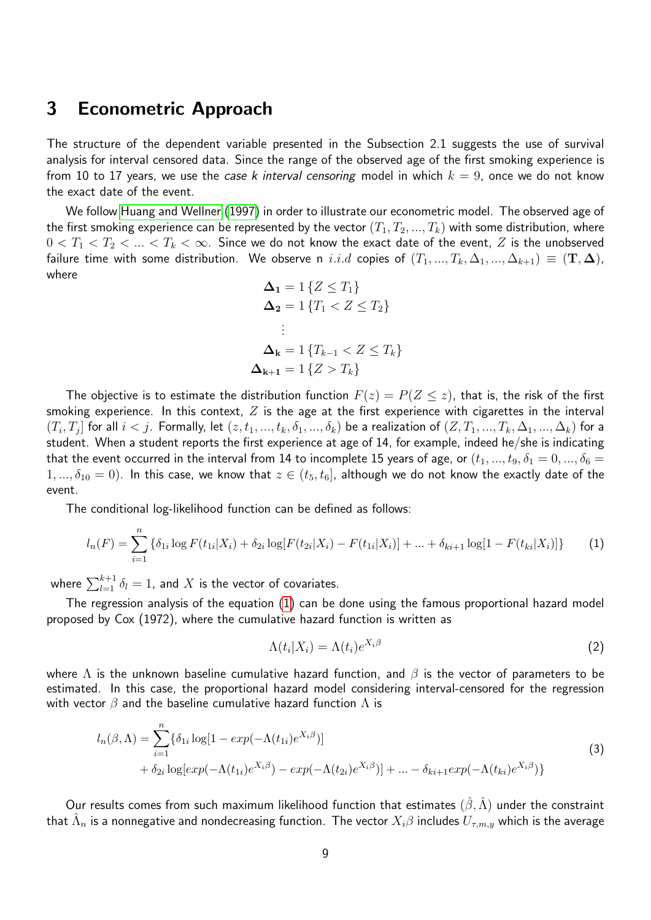## <span id="page-8-1"></span>3 Econometric Approach

The structure of the dependent variable presented in the Subsection 2.1 suggests the use of survival analysis for interval censored data. Since the range of the observed age of the first smoking experience is from 10 to 17 years, we use the case k interval censoring model in which  $k = 9$ , once we do not know the exact date of the event.

We follow [Huang and Wellner](#page-17-15) [\(1997\)](#page-17-15) in order to illustrate our econometric model. The observed age of the first smoking experience can be represented by the vector  $(T_1, T_2, ..., T_k)$  with some distribution, where  $0 < T_1 < T_2 < ... < T_k < \infty$ . Since we do not know the exact date of the event, Z is the unobserved failure time with some distribution. We observe n i.i.d copies of  $(T_1, ..., T_k, \Delta_1, ..., \Delta_{k+1}) \equiv (\mathbf{T}, \mathbf{\Delta})$ , where

<span id="page-8-0"></span>
$$
\Delta_1 = 1 \{ Z \le T_1 \}
$$
  
\n
$$
\Delta_2 = 1 \{ T_1 < Z \le T_2 \}
$$
  
\n
$$
\vdots
$$
  
\n
$$
\Delta_k = 1 \{ T_{k-1} < Z \le T_k \}
$$
  
\n
$$
\Delta_{k+1} = 1 \{ Z > T_k \}
$$

The objective is to estimate the distribution function  $F(z) = P(Z \leq z)$ , that is, the risk of the first smoking experience. In this context,  $Z$  is the age at the first experience with cigarettes in the interval  $(T_i,T_j]$  for all  $i < j.$  Formally, let  $(z,t_1,...,t_k,\delta_1,...,\delta_k)$  be a realization of  $(Z,T_1,...,T_k,\Delta_1,...,\Delta_k)$  for a student. When a student reports the first experience at age of 14, for example, indeed he/she is indicating that the event occurred in the interval from 14 to incomplete 15 years of age, or  $(t_1, ..., t_9, \delta_1 = 0, ..., \delta_6 = 1)$  $1, ..., \delta_{10} = 0$ ). In this case, we know that  $z \in (t_5, t_6]$ , although we do not know the exactly date of the event.

The conditional log-likelihood function can be defined as follows:

$$
l_n(F) = \sum_{i=1}^n \left\{ \delta_{1i} \log F(t_{1i}|X_i) + \delta_{2i} \log [F(t_{2i}|X_i) - F(t_{1i}|X_i)] + \dots + \delta_{ki+1} \log [1 - F(t_{ki}|X_i)] \right\}
$$
 (1)

where  $\sum_{l=1}^{k+1} \delta_l = 1$ , and  $X$  is the vector of covariates.

The regression analysis of the equation [\(1\)](#page-8-0) can be done using the famous proportional hazard model proposed by Cox (1972), where the cumulative hazard function is written as

$$
\Lambda(t_i|X_i) = \Lambda(t_i)e^{X_i\beta} \tag{2}
$$

where  $\Lambda$  is the unknown baseline cumulative hazard function, and  $\beta$  is the vector of parameters to be estimated. In this case, the proportional hazard model considering interval-censored for the regression with vector  $\beta$  and the baseline cumulative hazard function  $\Lambda$  is

$$
l_n(\beta,\Lambda) = \sum_{i=1}^n \{\delta_{1i} \log[1 - exp(-\Lambda(t_{1i})e^{X_i \beta})] + \delta_{2i} \log[exp(-\Lambda(t_{1i})e^{X_i \beta}) - exp(-\Lambda(t_{2i})e^{X_i \beta})] + ... - \delta_{ki+1} exp(-\Lambda(t_{ki})e^{X_i \beta})\}\
$$
\n(3)

Our results comes from such maximum likelihood function that estimates  $(\hat{\beta}, \hat{\Lambda})$  under the constraint that  $\hat \Lambda_n$  is a nonnegative and nondecreasing function. The vector  $X_i\beta$  includes  $U_{\tau,m,y}$  which is the average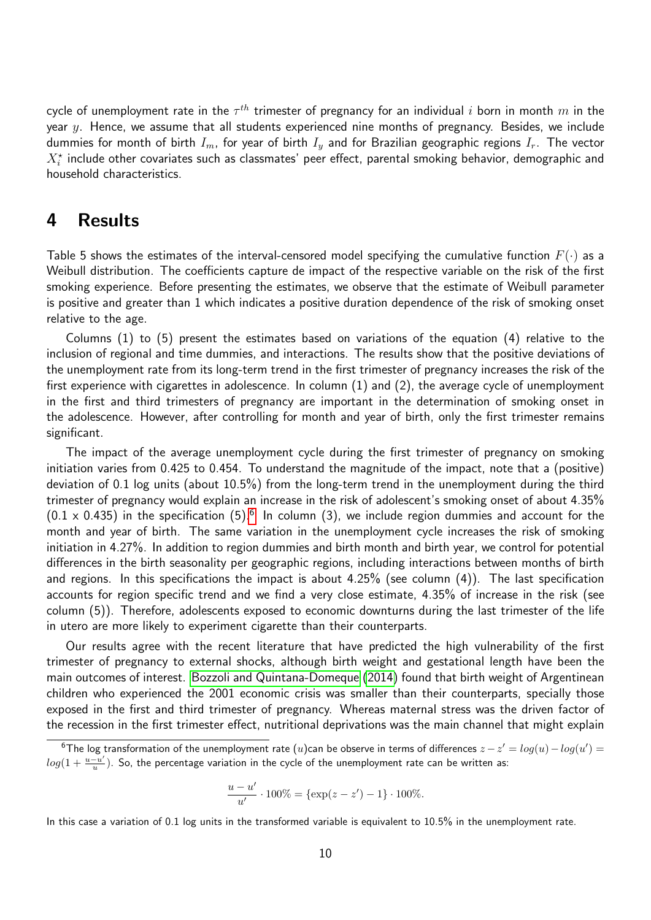<span id="page-9-1"></span>cycle of unemployment rate in the  $\tau^{th}$  trimester of pregnancy for an individual  $i$  born in month  $m$  in the year  $y$ . Hence, we assume that all students experienced nine months of pregnancy. Besides, we include dummies for month of birth  $I_m$ , for year of birth  $I_y$  and for Brazilian geographic regions  $I_r$ . The vector  $X^\star_i$  include other covariates such as classmates' peer effect, parental smoking behavior, demographic and household characteristics.

## 4 Results

Table 5 shows the estimates of the interval-censored model specifying the cumulative function  $F(\cdot)$  as a Weibull distribution. The coefficients capture de impact of the respective variable on the risk of the first smoking experience. Before presenting the estimates, we observe that the estimate of Weibull parameter is positive and greater than 1 which indicates a positive duration dependence of the risk of smoking onset relative to the age.

Columns  $(1)$  to  $(5)$  present the estimates based on variations of the equation  $(4)$  relative to the inclusion of regional and time dummies, and interactions. The results show that the positive deviations of the unemployment rate from its long-term trend in the first trimester of pregnancy increases the risk of the first experience with cigarettes in adolescence. In column (1) and (2), the average cycle of unemployment in the first and third trimesters of pregnancy are important in the determination of smoking onset in the adolescence. However, after controlling for month and year of birth, only the first trimester remains significant.

The impact of the average unemployment cycle during the first trimester of pregnancy on smoking initiation varies from 0.425 to 0.454. To understand the magnitude of the impact, note that a (positive) deviation of 0.1 log units (about 10.5%) from the long-term trend in the unemployment during the third trimester of pregnancy would explain an increase in the risk of adolescent's smoking onset of about 4.35%  $(0.1 \times 0.435)$  in the specification  $(5)$ .<sup>[6](#page-9-0)</sup> In column (3), we include region dummies and account for the month and year of birth. The same variation in the unemployment cycle increases the risk of smoking initiation in 4.27%. In addition to region dummies and birth month and birth year, we control for potential differences in the birth seasonality per geographic regions, including interactions between months of birth and regions. In this specifications the impact is about 4.25% (see column (4)). The last specification accounts for region specific trend and we find a very close estimate, 4.35% of increase in the risk (see column (5)). Therefore, adolescents exposed to economic downturns during the last trimester of the life in utero are more likely to experiment cigarette than their counterparts.

Our results agree with the recent literature that have predicted the high vulnerability of the first trimester of pregnancy to external shocks, although birth weight and gestational length have been the main outcomes of interest. [Bozzoli and Quintana-Domeque](#page-15-4) [\(2014\)](#page-15-4) found that birth weight of Argentinean children who experienced the 2001 economic crisis was smaller than their counterparts, specially those exposed in the first and third trimester of pregnancy. Whereas maternal stress was the driven factor of the recession in the first trimester effect, nutritional deprivations was the main channel that might explain

$$
\frac{u - u'}{u'} \cdot 100\% = \{\exp(z - z') - 1\} \cdot 100\%.
$$

In this case a variation of 0.1 log units in the transformed variable is equivalent to 10.5% in the unemployment rate.

<span id="page-9-0"></span> $^6$ The log transformation of the unemployment rate ( $u$ )can be observe in terms of differences  $z-z'=log(u)-log(u')=\frac{1}{2}$  $log(1+\frac{u-u'}{u})$  $\frac{u-u'}{u}$ ). So, the percentage variation in the cycle of the unemployment rate can be written as: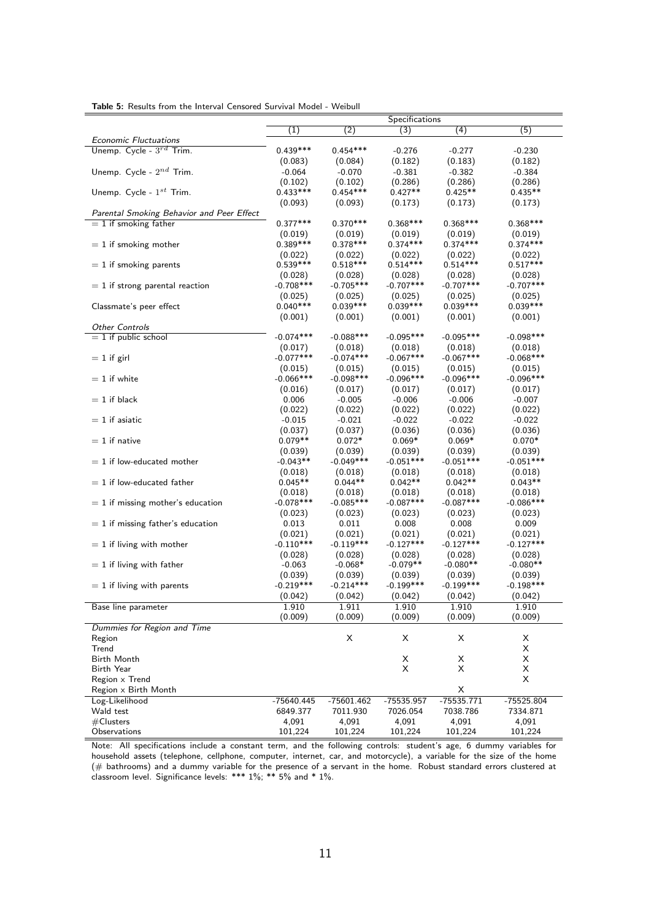|                                           |                        |                        | Specifications         |                        |                        |
|-------------------------------------------|------------------------|------------------------|------------------------|------------------------|------------------------|
|                                           | $\left( 1\right)$      | $\overline{(2)}$       | (3)                    | $\overline{(4)}$       | (5)                    |
| <b>Economic Fluctuations</b>              |                        |                        |                        |                        |                        |
| Unemp. Cycle - $3^{rd}$ Trim.             | $0.439***$             | $0.454***$             | $-0.276$               | $-0.277$               | $-0.230$               |
|                                           | (0.083)                | (0.084)                | (0.182)                | (0.183)                | (0.182)                |
| Unemp. Cycle - $2^{nd}$ Trim.             | $-0.064$               | $-0.070$               | $-0.381$               | $-0.382$               | $-0.384$               |
|                                           | (0.102)                | (0.102)                | (0.286)                | (0.286)                | (0.286)                |
| Unemp. Cycle - $1^{st}$ Trim.             | $0.433***$             | $0.454***$             | $0.427**$              | $0.425**$              | $0.435**$              |
|                                           | (0.093)                | (0.093)                | (0.173)                | (0.173)                | (0.173)                |
| Parental Smoking Behavior and Peer Effect |                        |                        |                        |                        |                        |
| $= 1$ if smoking father                   | $0.377***$             | $0.370***$             | $0.368***$             | $0.368***$             | $0.368***$             |
|                                           | (0.019)                | (0.019)                | (0.019)                | (0.019)                | (0.019)                |
| $= 1$ if smoking mother                   | $0.389***$             | $0.378***$             | $0.374***$             | $0.374***$             | $0.374***$             |
|                                           | (0.022)                | (0.022)                | (0.022)                | (0.022)                | (0.022)                |
| $= 1$ if smoking parents                  | $0.539***$             | $0.518***$             | $0.514***$             | $0.514***$             | $0.517***$             |
|                                           | (0.028)<br>$-0.708***$ | (0.028)<br>$-0.705***$ | (0.028)<br>$-0.707***$ | (0.028)<br>$-0.707***$ | (0.028)<br>$-0.707***$ |
| $= 1$ if strong parental reaction         |                        | (0.025)                |                        | (0.025)                | (0.025)                |
| Classmate's peer effect                   | (0.025)<br>$0.040***$  | $0.039***$             | (0.025)<br>$0.039***$  | $0.039***$             | $0.039***$             |
|                                           | (0.001)                | (0.001)                | (0.001)                | (0.001)                | (0.001)                |
| <b>Other Controls</b>                     |                        |                        |                        |                        |                        |
| $= 1$ if public school                    | $-0.074***$            | $-0.088$ ***           | $-0.095***$            | $-0.095***$            | $-0.098$ ***           |
|                                           | (0.017)                | (0.018)                | (0.018)                | (0.018)                | (0.018)                |
| $= 1$ if girl                             | $-0.077***$            | $-0.074***$            | $-0.067***$            | $-0.067***$            | $-0.068***$            |
|                                           | (0.015)                | (0.015)                | (0.015)                | (0.015)                | (0.015)                |
| $= 1$ if white                            | $-0.066***$            | $-0.098***$            | $-0.096***$            | $-0.096***$            | $-0.096***$            |
|                                           | (0.016)                | (0.017)                | (0.017)                | (0.017)                | (0.017)                |
| $= 1$ if black                            | 0.006                  | $-0.005$               | $-0.006$               | $-0.006$               | $-0.007$               |
|                                           | (0.022)                | (0.022)                | (0.022)                | (0.022)                | (0.022)                |
| $= 1$ if asiatic                          | $-0.015$               | $-0.021$               | $-0.022$               | $-0.022$               | $-0.022$               |
|                                           | (0.037)                | (0.037)                | (0.036)                | (0.036)                | (0.036)                |
| $= 1$ if native                           | $0.079**$              | $0.072*$               | $0.069*$               | $0.069*$               | $0.070*$               |
|                                           | (0.039)                | (0.039)                | (0.039)                | (0.039)                | (0.039)                |
| $= 1$ if low-educated mother              | $-0.043**$             | $-0.049***$            | $-0.051***$            | $-0.051***$            | $-0.051***$            |
|                                           | (0.018)                | (0.018)                | (0.018)                | (0.018)                | (0.018)                |
| $= 1$ if low-educated father              | $0.045**$              | $0.044**$              | $0.042**$              | $0.042**$              | $0.043**$              |
|                                           | (0.018)                | (0.018)                | (0.018)                | (0.018)                | (0.018)                |
| $= 1$ if missing mother's education       | $-0.078***$            | $-0.085***$            | $-0.087***$            | $-0.087***$            | $-0.086***$            |
|                                           | (0.023)                | (0.023)                | (0.023)                | (0.023)                | (0.023)                |
| $= 1$ if missing father's education       | 0.013                  | 0.011                  | 0.008                  | 0.008                  | 0.009                  |
|                                           | (0.021)                | (0.021)                | (0.021)                | (0.021)                | (0.021)                |
| $= 1$ if living with mother               | $-0.110***$            | $-0.119***$            | $-0.127***$            | $-0.127***$            | $-0.127***$            |
|                                           | (0.028)                | (0.028)                | (0.028)                | (0.028)                | (0.028)                |
| $= 1$ if living with father               | $-0.063$               | $-0.068*$              | $-0.079**$             | $-0.080**$             | $-0.080**$             |
|                                           | (0.039)                | (0.039)                | (0.039)                | (0.039)                | (0.039)                |
| $= 1$ if living with parents              | $-0.219***$            | $-0.214***$            | $-0.199***$            | $-0.199***$            | $-0.198***$            |
|                                           | (0.042)                | (0.042)                | (0.042)                | (0.042)                | (0.042)                |
| Base line parameter                       | 1.910                  | 1.911                  | 1.910                  | 1.910                  | 1.910                  |
|                                           | (0.009)                | (0.009)                | (0.009)                | (0.009)                | (0.009)                |
| Dummies for Region and Time               |                        |                        |                        |                        |                        |
| Region                                    |                        | X                      | X                      | X                      | Х                      |
| Trend                                     |                        |                        |                        |                        | X                      |
| Birth Month                               |                        |                        | X                      | х                      | X                      |
| <b>Birth Year</b>                         |                        |                        | X                      | Χ                      | X                      |
| Region x Trend                            |                        |                        |                        |                        | Χ                      |
| Region x Birth Month                      |                        |                        |                        | X                      |                        |
| Log-Likelihood                            | -75640.445             | -75601.462             | -75535.957             | $-75535.771$           | $-75525.804$           |
| Wald test                                 | 6849.377               | 7011.930               | 7026.054               | 7038.786               | 7334.871               |
| # Clusters                                | 4,091                  | 4,091                  | 4,091                  | 4,091                  | 4,091                  |
| Observations                              | 101,224                | 101,224                | 101,224                | 101,224                | 101,224                |
|                                           |                        |                        |                        |                        |                        |

Table 5: Results from the Interval Censored Survival Model - Weibull

Note: All specifications include a constant term, and the following controls: student's age, 6 dummy variables for household assets (telephone, cellphone, computer, internet, car, and motorcycle), a variable for the size of the home (# bathrooms) and a dummy variable for the presence of a servant in the home. Robust standard errors clustered at classroom level. Significance levels: \*\*\* 1%; \*\* 5% and \* 1%.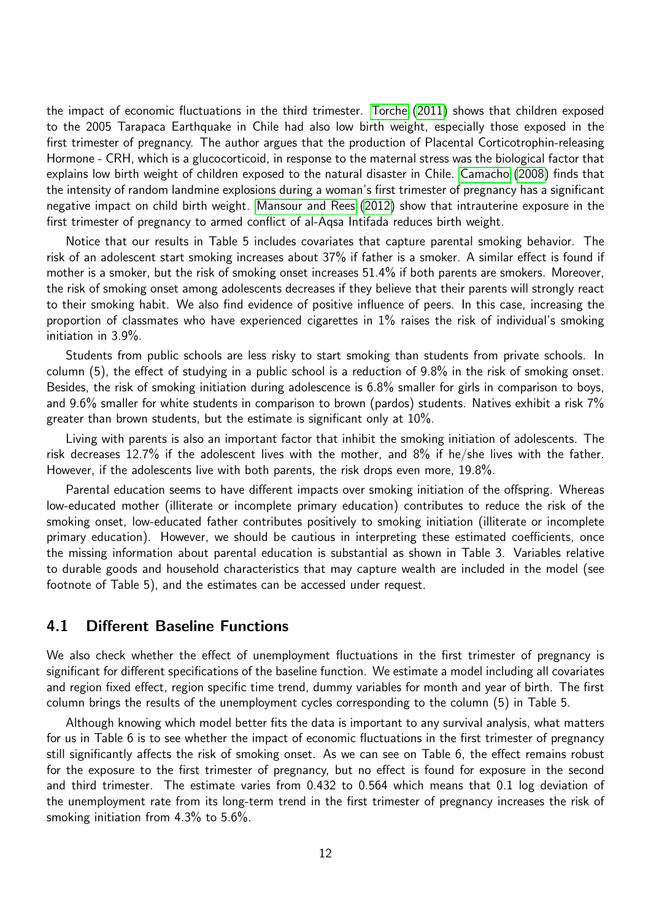<span id="page-11-0"></span>the impact of economic fluctuations in the third trimester. [Torche](#page-18-2) [\(2011\)](#page-18-2) shows that children exposed to the 2005 Tarapaca Earthquake in Chile had also low birth weight, especially those exposed in the first trimester of pregnancy. The author argues that the production of Placental Corticotrophin-releasing Hormone - CRH, which is a glucocorticoid, in response to the maternal stress was the biological factor that explains low birth weight of children exposed to the natural disaster in Chile. [Camacho](#page-15-6) [\(2008\)](#page-15-6) finds that the intensity of random landmine explosions during a woman's first trimester of pregnancy has a significant negative impact on child birth weight. [Mansour and Rees](#page-17-12) [\(2012\)](#page-17-12) show that intrauterine exposure in the first trimester of pregnancy to armed conflict of al-Aqsa Intifada reduces birth weight.

Notice that our results in Table 5 includes covariates that capture parental smoking behavior. The risk of an adolescent start smoking increases about 37% if father is a smoker. A similar effect is found if mother is a smoker, but the risk of smoking onset increases 51.4% if both parents are smokers. Moreover, the risk of smoking onset among adolescents decreases if they believe that their parents will strongly react to their smoking habit. We also find evidence of positive influence of peers. In this case, increasing the proportion of classmates who have experienced cigarettes in 1% raises the risk of individual's smoking initiation in 3.9%.

Students from public schools are less risky to start smoking than students from private schools. In column (5), the effect of studying in a public school is a reduction of 9.8% in the risk of smoking onset. Besides, the risk of smoking initiation during adolescence is 6.8% smaller for girls in comparison to boys, and 9.6% smaller for white students in comparison to brown (pardos) students. Natives exhibit a risk 7% greater than brown students, but the estimate is significant only at 10%.

Living with parents is also an important factor that inhibit the smoking initiation of adolescents. The risk decreases 12.7% if the adolescent lives with the mother, and 8% if he/she lives with the father. However, if the adolescents live with both parents, the risk drops even more, 19.8%.

Parental education seems to have different impacts over smoking initiation of the offspring. Whereas low-educated mother (illiterate or incomplete primary education) contributes to reduce the risk of the smoking onset, low-educated father contributes positively to smoking initiation (illiterate or incomplete primary education). However, we should be cautious in interpreting these estimated coefficients, once the missing information about parental education is substantial as shown in Table 3. Variables relative to durable goods and household characteristics that may capture wealth are included in the model (see footnote of Table 5), and the estimates can be accessed under request.

#### 4.1 Different Baseline Functions

We also check whether the effect of unemployment fluctuations in the first trimester of pregnancy is significant for different specifications of the baseline function. We estimate a model including all covariates and region fixed effect, region specific time trend, dummy variables for month and year of birth. The first column brings the results of the unemployment cycles corresponding to the column (5) in Table 5.

Although knowing which model better fits the data is important to any survival analysis, what matters for us in Table 6 is to see whether the impact of economic fluctuations in the first trimester of pregnancy still significantly affects the risk of smoking onset. As we can see on Table 6, the effect remains robust for the exposure to the first trimester of pregnancy, but no effect is found for exposure in the second and third trimester. The estimate varies from 0.432 to 0.564 which means that 0.1 log deviation of the unemployment rate from its long-term trend in the first trimester of pregnancy increases the risk of smoking initiation from 4.3% to 5.6%.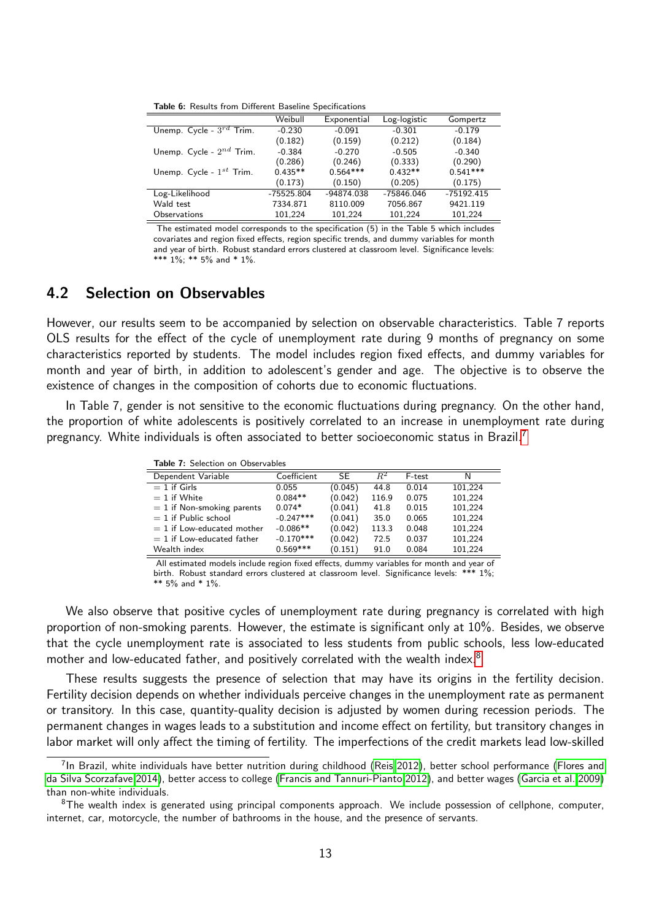<span id="page-12-2"></span>Table 6: Results from Different Baseline Specifications

|                               | Weibull      | Exponential | Log-logistic | Gompertz     |
|-------------------------------|--------------|-------------|--------------|--------------|
| Unemp. Cycle - $3^{rd}$ Trim. | $-0.230$     | $-0.091$    | $-0.301$     | $-0.179$     |
|                               | (0.182)      | (0.159)     | (0.212)      | (0.184)      |
| Unemp. Cycle - $2^{nd}$ Trim. | $-0.384$     | $-0.270$    | $-0.505$     | $-0.340$     |
|                               | (0.286)      | (0.246)     | (0.333)      | (0.290)      |
| Unemp. Cycle - $1^{st}$ Trim. | $0.435**$    | $0.564***$  | $0.432**$    | $0.541***$   |
|                               | (0.173)      | (0.150)     | (0.205)      | (0.175)      |
| Log-Likelihood                | $-75525.804$ | -94874.038  | -75846.046   | $-75192.415$ |
| Wald test                     | 7334.871     | 8110.009    | 7056.867     | 9421.119     |
| Observations                  | 101.224      | 101,224     | 101,224      | 101,224      |

The estimated model corresponds to the specification (5) in the Table 5 which includes covariates and region fixed effects, region specific trends, and dummy variables for month and year of birth. Robust standard errors clustered at classroom level. Significance levels: \*\*\* 1%; \*\* 5% and \* 1%.

### 4.2 Selection on Observables

However, our results seem to be accompanied by selection on observable characteristics. Table 7 reports OLS results for the effect of the cycle of unemployment rate during 9 months of pregnancy on some characteristics reported by students. The model includes region fixed effects, and dummy variables for month and year of birth, in addition to adolescent's gender and age. The objective is to observe the existence of changes in the composition of cohorts due to economic fluctuations.

In Table 7, gender is not sensitive to the economic fluctuations during pregnancy. On the other hand, the proportion of white adolescents is positively correlated to an increase in unemployment rate during pregnancy. White individuals is often associated to better socioeconomic status in Brazil.[7](#page-12-0)

| Table 7: Selection on Observables |             |         |       |        |         |  |  |  |
|-----------------------------------|-------------|---------|-------|--------|---------|--|--|--|
| Dependent Variable                | Coefficient | SE      | $R^2$ | F-test | N       |  |  |  |
| $= 1$ if Girls                    | 0.055       | (0.045) | 44.8  | 0.014  | 101.224 |  |  |  |
| $= 1$ if White                    | $0.084**$   | (0.042) | 116.9 | 0.075  | 101.224 |  |  |  |
| $= 1$ if Non-smoking parents      | $0.074*$    | (0.041) | 41.8  | 0.015  | 101,224 |  |  |  |
| $= 1$ if Public school            | $-0.247***$ | (0.041) | 35.0  | 0.065  | 101,224 |  |  |  |
| $= 1$ if Low-educated mother      | $-0.086**$  | (0.042) | 113.3 | 0.048  | 101,224 |  |  |  |
| $= 1$ if Low-educated father      | $-0.170***$ | (0.042) | 72.5  | 0.037  | 101,224 |  |  |  |
| Wealth index                      | $0.569***$  | (0.151) | 91.0  | 0.084  | 101,224 |  |  |  |

All estimated models include region fixed effects, dummy variables for month and year of birth. Robust standard errors clustered at classroom level. Significance levels: \*\*\* 1%;

 $** 5\%$  and  $* 1\%$ 

We also observe that positive cycles of unemployment rate during pregnancy is correlated with high proportion of non-smoking parents. However, the estimate is significant only at 10%. Besides, we observe that the cycle unemployment rate is associated to less students from public schools, less low-educated mother and low-educated father, and positively correlated with the wealth index.<sup>[8](#page-12-1)</sup>

These results suggests the presence of selection that may have its origins in the fertility decision. Fertility decision depends on whether individuals perceive changes in the unemployment rate as permanent or transitory. In this case, quantity-quality decision is adjusted by women during recession periods. The permanent changes in wages leads to a substitution and income effect on fertility, but transitory changes in labor market will only affect the timing of fertility. The imperfections of the credit markets lead low-skilled

<span id="page-12-0"></span><sup>&</sup>lt;sup>7</sup>In Brazil, white individuals have better nutrition during childhood [\(Reis 2012\)](#page-18-8), better school performance [\(Flores and](#page-16-8) [da Silva Scorzafave 2014\)](#page-16-8), better access to college [\(Francis and Tannuri-Pianto 2012\)](#page-16-9), and better wages [\(Garcia et al. 2009\)](#page-16-10) than non-white individuals.

<span id="page-12-1"></span> $8$ The wealth index is generated using principal components approach. We include possession of cellphone, computer, internet, car, motorcycle, the number of bathrooms in the house, and the presence of servants.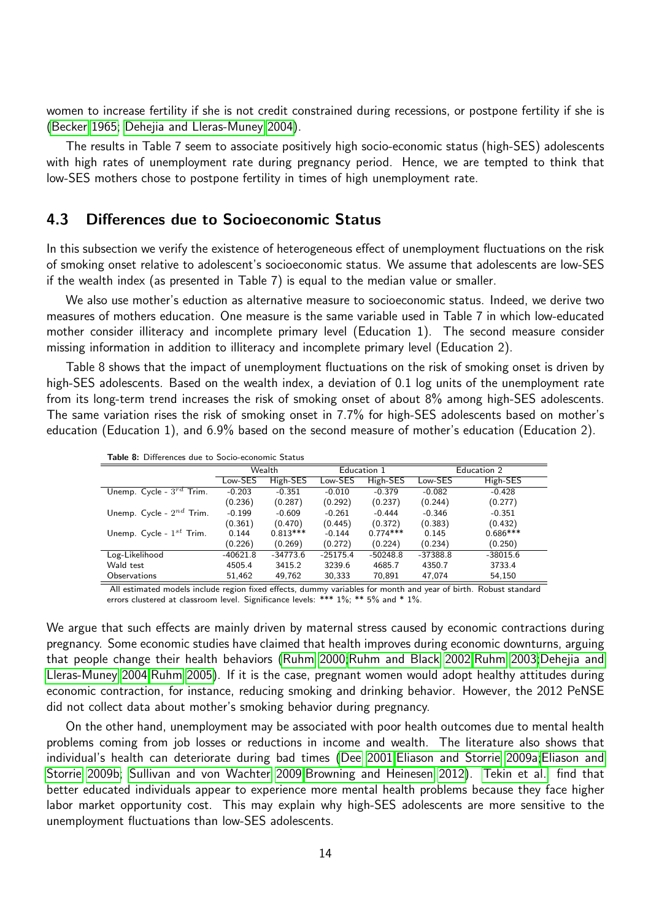<span id="page-13-0"></span>women to increase fertility if she is not credit constrained during recessions, or postpone fertility if she is [\(Becker 1965;](#page-15-14) [Dehejia and Lleras-Muney 2004\)](#page-16-6).

The results in Table 7 seem to associate positively high socio-economic status (high-SES) adolescents with high rates of unemployment rate during pregnancy period. Hence, we are tempted to think that low-SES mothers chose to postpone fertility in times of high unemployment rate.

### 4.3 Differences due to Socioeconomic Status

In this subsection we verify the existence of heterogeneous effect of unemployment fluctuations on the risk of smoking onset relative to adolescent's socioeconomic status. We assume that adolescents are low-SES if the wealth index (as presented in Table 7) is equal to the median value or smaller.

We also use mother's eduction as alternative measure to socioeconomic status. Indeed, we derive two measures of mothers education. One measure is the same variable used in Table 7 in which low-educated mother consider illiteracy and incomplete primary level (Education 1). The second measure consider missing information in addition to illiteracy and incomplete primary level (Education 2).

Table 8 shows that the impact of unemployment fluctuations on the risk of smoking onset is driven by high-SES adolescents. Based on the wealth index, a deviation of 0.1 log units of the unemployment rate from its long-term trend increases the risk of smoking onset of about 8% among high-SES adolescents. The same variation rises the risk of smoking onset in 7.7% for high-SES adolescents based on mother's education (Education 1), and 6.9% based on the second measure of mother's education (Education 2).

|                               | Wealth     |            | Education 1 |            | Education 2 |            |  |
|-------------------------------|------------|------------|-------------|------------|-------------|------------|--|
|                               | Low-SES    | High-SES   | Low-SES     | High-SES   | Low-SES     | High-SES   |  |
| Unemp. Cycle - $3^{rd}$ Trim. | $-0.203$   | $-0.351$   | $-0.010$    | $-0.379$   | $-0.082$    | $-0.428$   |  |
|                               | (0.236)    | (0.287)    | (0.292)     | (0.237)    | (0.244)     | (0.277)    |  |
| Unemp. Cycle - $2^{nd}$ Trim. | $-0.199$   | $-0.609$   | $-0.261$    | $-0.444$   | $-0.346$    | $-0.351$   |  |
|                               | (0.361)    | (0.470)    | (0.445)     | (0.372)    | (0.383)     | (0.432)    |  |
| Unemp. Cycle - $1^{st}$ Trim. | 0.144      | $0.813***$ | $-0.144$    | $0.774***$ | 0.145       | $0.686***$ |  |
|                               | (0.226)    | (0.269)    | (0.272)     | (0.224)    | (0.234)     | (0.250)    |  |
| Log-Likelihood                | $-40621.8$ | $-34773.6$ | $-25175.4$  | $-50248.8$ | $-37388.8$  | $-38015.6$ |  |
| Wald test                     | 4505.4     | 3415.2     | 3239.6      | 4685.7     | 4350.7      | 3733.4     |  |
| Observations                  | 51,462     | 49,762     | 30,333      | 70,891     | 47,074      | 54,150     |  |

Table 8: Differences due to Socio-economic Status

All estimated models include region fixed effects, dummy variables for month and year of birth. Robust standard errors clustered at classroom level. Significance levels: \*\*\* 1%; \*\* 5% and \* 1%.

We argue that such effects are mainly driven by maternal stress caused by economic contractions during pregnancy. Some economic studies have claimed that health improves during economic downturns, arguing that people change their health behaviors [\(Ruhm 2000;](#page-18-9)[Ruhm and Black 2002;](#page-18-10)[Ruhm 2003;](#page-18-11)[Dehejia and](#page-16-6) [Lleras-Muney 2004;](#page-16-6)[Ruhm 2005\)](#page-18-12). If it is the case, pregnant women would adopt healthy attitudes during economic contraction, for instance, reducing smoking and drinking behavior. However, the 2012 PeNSE did not collect data about mother's smoking behavior during pregnancy.

On the other hand, unemployment may be associated with poor health outcomes due to mental health problems coming from job losses or reductions in income and wealth. The literature also shows that individual's health can deteriorate during bad times [\(Dee 2001;](#page-16-11)[Eliason and Storrie 2009a;](#page-16-12)[Eliason and](#page-16-13) [Storrie 2009b;](#page-16-13) [Sullivan and von Wachter 2009;](#page-18-13)[Browning and Heinesen 2012\)](#page-15-15). [Tekin et al.](#page-18-14) find that better educated individuals appear to experience more mental health problems because they face higher labor market opportunity cost. This may explain why high-SES adolescents are more sensitive to the unemployment fluctuations than low-SES adolescents.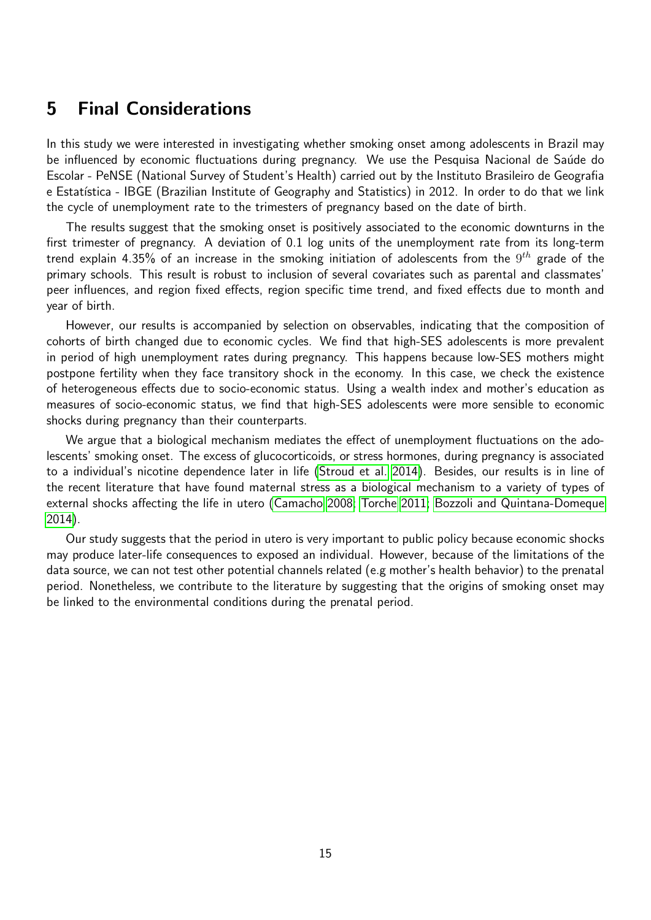# <span id="page-14-0"></span>5 Final Considerations

In this study we were interested in investigating whether smoking onset among adolescents in Brazil may be influenced by economic fluctuations during pregnancy. We use the Pesquisa Nacional de Saúde do Escolar - PeNSE (National Survey of Student's Health) carried out by the Instituto Brasileiro de Geografia e Estatística - IBGE (Brazilian Institute of Geography and Statistics) in 2012. In order to do that we link the cycle of unemployment rate to the trimesters of pregnancy based on the date of birth.

The results suggest that the smoking onset is positively associated to the economic downturns in the first trimester of pregnancy. A deviation of 0.1 log units of the unemployment rate from its long-term trend explain 4.35% of an increase in the smoking initiation of adolescents from the  $9^{th}$  grade of the primary schools. This result is robust to inclusion of several covariates such as parental and classmates' peer influences, and region fixed effects, region specific time trend, and fixed effects due to month and year of birth.

However, our results is accompanied by selection on observables, indicating that the composition of cohorts of birth changed due to economic cycles. We find that high-SES adolescents is more prevalent in period of high unemployment rates during pregnancy. This happens because low-SES mothers might postpone fertility when they face transitory shock in the economy. In this case, we check the existence of heterogeneous effects due to socio-economic status. Using a wealth index and mother's education as measures of socio-economic status, we find that high-SES adolescents were more sensible to economic shocks during pregnancy than their counterparts.

We argue that a biological mechanism mediates the effect of unemployment fluctuations on the adolescents' smoking onset. The excess of glucocorticoids, or stress hormones, during pregnancy is associated to a individual's nicotine dependence later in life [\(Stroud et al. 2014\)](#page-18-3). Besides, our results is in line of the recent literature that have found maternal stress as a biological mechanism to a variety of types of external shocks affecting the life in utero [\(Camacho 2008;](#page-15-6) [Torche 2011;](#page-18-2) [Bozzoli and Quintana-Domeque](#page-15-4) [2014\)](#page-15-4).

Our study suggests that the period in utero is very important to public policy because economic shocks may produce later-life consequences to exposed an individual. However, because of the limitations of the data source, we can not test other potential channels related (e.g mother's health behavior) to the prenatal period. Nonetheless, we contribute to the literature by suggesting that the origins of smoking onset may be linked to the environmental conditions during the prenatal period.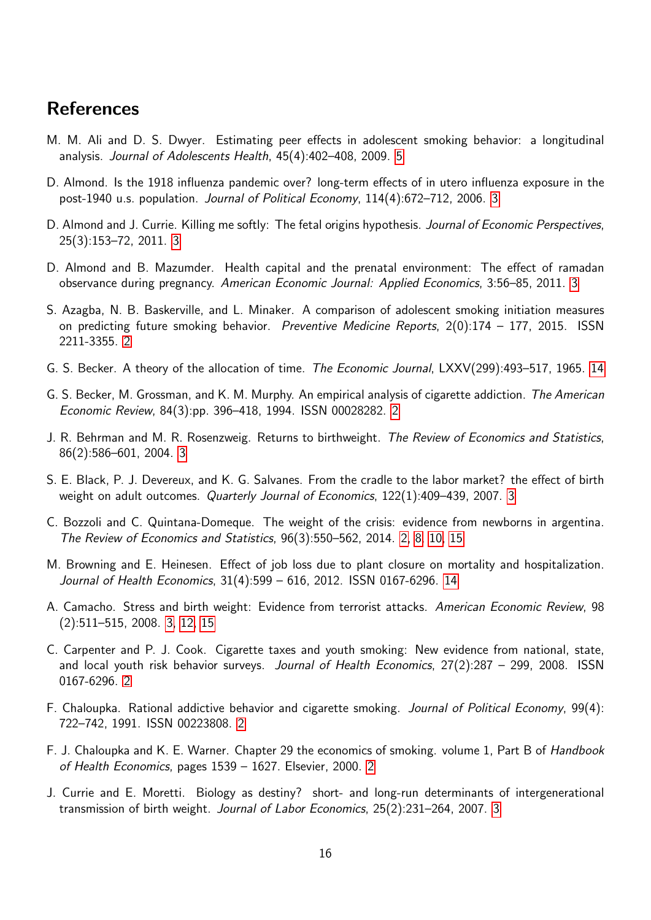# References

- <span id="page-15-13"></span>M. M. Ali and D. S. Dwyer. Estimating peer effects in adolescent smoking behavior: a longitudinal analysis. Journal of Adolescents Health, 45(4):402–408, 2009. [5](#page-4-0)
- <span id="page-15-12"></span>D. Almond. Is the 1918 influenza pandemic over? long-term effects of in utero influenza exposure in the post-1940 u.s. population. Journal of Political Economy, 114(4):672–712, 2006. [3](#page-2-0)
- <span id="page-15-7"></span>D. Almond and J. Currie. Killing me softly: The fetal origins hypothesis. Journal of Economic Perspectives, 25(3):153–72, 2011. [3](#page-2-0)
- <span id="page-15-11"></span>D. Almond and B. Mazumder. Health capital and the prenatal environment: The effect of ramadan observance during pregnancy. American Economic Journal: Applied Economics, 3:56–85, 2011. [3](#page-2-0)
- <span id="page-15-0"></span>S. Azagba, N. B. Baskerville, and L. Minaker. A comparison of adolescent smoking initiation measures on predicting future smoking behavior. Preventive Medicine Reports, 2(0):174 - 177, 2015. ISSN 2211-3355. [2](#page-1-3)
- <span id="page-15-14"></span>G. S. Becker. A theory of the allocation of time. The Economic Journal, LXXV(299):493–517, 1965. [14](#page-13-0)
- <span id="page-15-3"></span>G. S. Becker, M. Grossman, and K. M. Murphy. An empirical analysis of cigarette addiction. The American Economic Review, 84(3):pp. 396–418, 1994. ISSN 00028282. [2](#page-1-3)
- <span id="page-15-8"></span>J. R. Behrman and M. R. Rosenzweig. Returns to birthweight. The Review of Economics and Statistics, 86(2):586–601, 2004. [3](#page-2-0)
- <span id="page-15-9"></span>S. E. Black, P. J. Devereux, and K. G. Salvanes. From the cradle to the labor market? the effect of birth weight on adult outcomes. Quarterly Journal of Economics, 122(1):409–439, 2007. [3](#page-2-0)
- <span id="page-15-4"></span>C. Bozzoli and C. Quintana-Domeque. The weight of the crisis: evidence from newborns in argentina. The Review of Economics and Statistics, 96(3):550–562, 2014. [2,](#page-1-3) [8,](#page-7-0) [10,](#page-9-1) [15](#page-14-0)
- <span id="page-15-15"></span>M. Browning and E. Heinesen. Effect of job loss due to plant closure on mortality and hospitalization. Journal of Health Economics, 31(4):599 – 616, 2012. ISSN 0167-6296. [14](#page-13-0)
- <span id="page-15-6"></span>A. Camacho. Stress and birth weight: Evidence from terrorist attacks. American Economic Review, 98 (2):511–515, 2008. [3,](#page-2-0) [12,](#page-11-0) [15](#page-14-0)
- <span id="page-15-1"></span>C. Carpenter and P. J. Cook. Cigarette taxes and youth smoking: New evidence from national, state, and local youth risk behavior surveys. *Journal of Health Economics*, 27(2):287 – 299, 2008. ISSN 0167-6296. [2](#page-1-3)
- <span id="page-15-2"></span>F. Chaloupka. Rational addictive behavior and cigarette smoking. Journal of Political Economy, 99(4): 722–742, 1991. ISSN 00223808. [2](#page-1-3)
- <span id="page-15-5"></span>F. J. Chaloupka and K. E. Warner. Chapter 29 the economics of smoking. volume 1, Part B of Handbook of Health Economics, pages 1539 – 1627. Elsevier, 2000. [2](#page-1-3)
- <span id="page-15-10"></span>J. Currie and E. Moretti. Biology as destiny? short- and long-run determinants of intergenerational transmission of birth weight. Journal of Labor Economics, 25(2):231–264, 2007. [3](#page-2-0)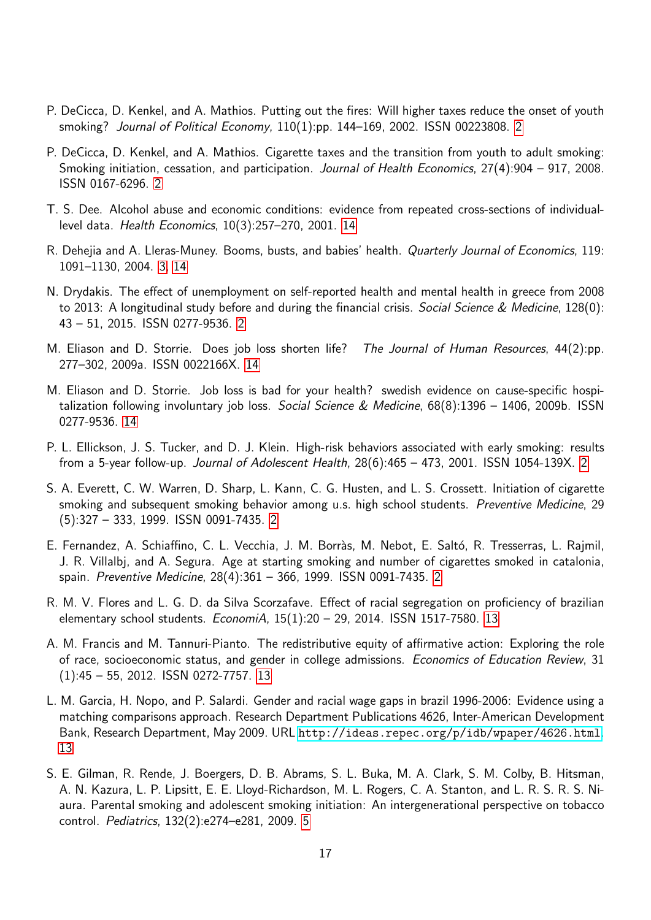- <span id="page-16-3"></span>P. DeCicca, D. Kenkel, and A. Mathios. Putting out the fires: Will higher taxes reduce the onset of youth smoking? Journal of Political Economy, 110(1):pp. 144–169, 2002. ISSN 00223808. [2](#page-1-3)
- <span id="page-16-4"></span>P. DeCicca, D. Kenkel, and A. Mathios. Cigarette taxes and the transition from youth to adult smoking: Smoking initiation, cessation, and participation. Journal of Health Economics, 27(4):904 – 917, 2008. ISSN 0167-6296. [2](#page-1-3)
- <span id="page-16-11"></span>T. S. Dee. Alcohol abuse and economic conditions: evidence from repeated cross-sections of individuallevel data. Health Economics, 10(3):257–270, 2001. [14](#page-13-0)
- <span id="page-16-6"></span>R. Dehejia and A. Lleras-Muney. Booms, busts, and babies' health. Quarterly Journal of Economics, 119: 1091–1130, 2004. [3,](#page-2-0) [14](#page-13-0)
- <span id="page-16-5"></span>N. Drydakis. The effect of unemployment on self-reported health and mental health in greece from 2008 to 2013: A longitudinal study before and during the financial crisis. Social Science & Medicine, 128(0): 43 – 51, 2015. ISSN 0277-9536. [2](#page-1-3)
- <span id="page-16-12"></span>M. Eliason and D. Storrie. Does job loss shorten life? The Journal of Human Resources, 44(2):pp. 277–302, 2009a. ISSN 0022166X. [14](#page-13-0)
- <span id="page-16-13"></span>M. Eliason and D. Storrie. Job loss is bad for your health? swedish evidence on cause-specific hospitalization following involuntary job loss. Social Science & Medicine, 68(8):1396 - 1406, 2009b. ISSN 0277-9536. [14](#page-13-0)
- <span id="page-16-2"></span>P. L. Ellickson, J. S. Tucker, and D. J. Klein. High-risk behaviors associated with early smoking: results from a 5-year follow-up. Journal of Adolescent Health, 28(6):465 – 473, 2001. ISSN 1054-139X. [2](#page-1-3)
- <span id="page-16-0"></span>S. A. Everett, C. W. Warren, D. Sharp, L. Kann, C. G. Husten, and L. S. Crossett. Initiation of cigarette smoking and subsequent smoking behavior among u.s. high school students. *Preventive Medicine*, 29 (5):327 – 333, 1999. ISSN 0091-7435. [2](#page-1-3)
- <span id="page-16-1"></span>E. Fernandez, A. Schiaffino, C. L. Vecchia, J. M. Borràs, M. Nebot, E. Saltó, R. Tresserras, L. Rajmil, J. R. Villalbj, and A. Segura. Age at starting smoking and number of cigarettes smoked in catalonia, spain. Preventive Medicine, 28(4):361 – 366, 1999. ISSN 0091-7435. [2](#page-1-3)
- <span id="page-16-8"></span>R. M. V. Flores and L. G. D. da Silva Scorzafave. Effect of racial segregation on proficiency of brazilian elementary school students.  $E_{\text{Conomi}}$ A, 15(1):20 - 29, 2014. ISSN 1517-7580. [13](#page-12-2)
- <span id="page-16-9"></span>A. M. Francis and M. Tannuri-Pianto. The redistributive equity of affirmative action: Exploring the role of race, socioeconomic status, and gender in college admissions. Economics of Education Review, 31 (1):45 – 55, 2012. ISSN 0272-7757. [13](#page-12-2)
- <span id="page-16-10"></span>L. M. Garcia, H. Nopo, and P. Salardi. Gender and racial wage gaps in brazil 1996-2006: Evidence using a matching comparisons approach. Research Department Publications 4626, Inter-American Development Bank, Research Department, May 2009. URL <http://ideas.repec.org/p/idb/wpaper/4626.html>. [13](#page-12-2)
- <span id="page-16-7"></span>S. E. Gilman, R. Rende, J. Boergers, D. B. Abrams, S. L. Buka, M. A. Clark, S. M. Colby, B. Hitsman, A. N. Kazura, L. P. Lipsitt, E. E. Lloyd-Richardson, M. L. Rogers, C. A. Stanton, and L. R. S. R. S. Niaura. Parental smoking and adolescent smoking initiation: An intergenerational perspective on tobacco control. Pediatrics, 132(2):e274–e281, 2009. [5](#page-4-0)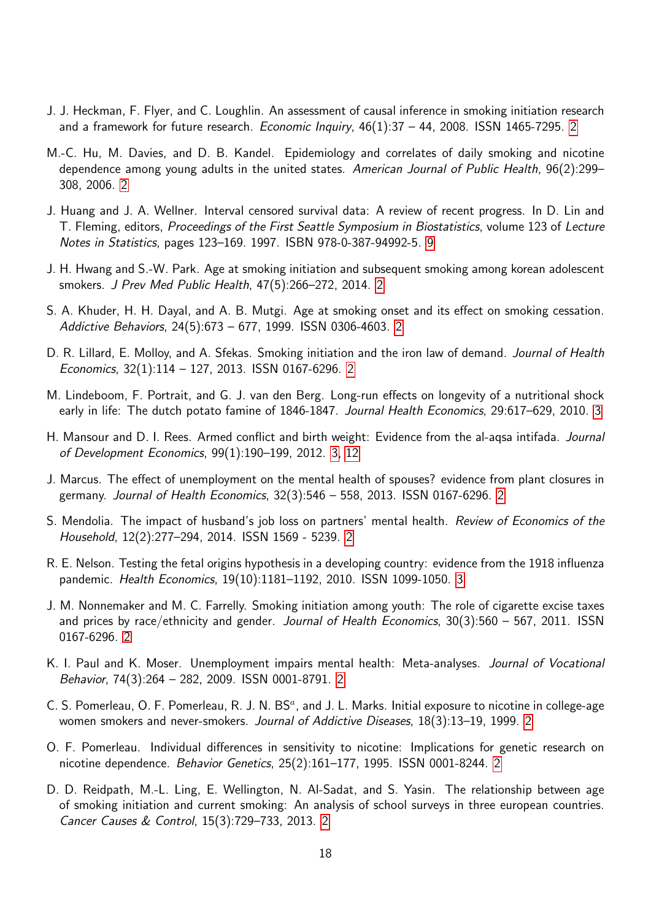- <span id="page-17-8"></span>J. J. Heckman, F. Flyer, and C. Loughlin. An assessment of causal inference in smoking initiation research and a framework for future research. Economic Inquiry,  $46(1):37 - 44$ , [2](#page-1-3)008. ISSN 1465-7295. 2
- <span id="page-17-2"></span>M.-C. Hu, M. Davies, and D. B. Kandel. Epidemiology and correlates of daily smoking and nicotine dependence among young adults in the united states. American Journal of Public Health, 96(2):299– 308, 2006. [2](#page-1-3)
- <span id="page-17-15"></span>J. Huang and J. A. Wellner. Interval censored survival data: A review of recent progress. In D. Lin and T. Fleming, editors, Proceedings of the First Seattle Symposium in Biostatistics, volume 123 of Lecture Notes in Statistics, pages 123–169. 1997. ISBN 978-0-387-94992-5. [9](#page-8-1)
- <span id="page-17-4"></span>J. H. Hwang and S.-W. Park. Age at smoking initiation and subsequent smoking among korean adolescent smokers. J Prev Med Public Health, 47(5):266–272, 2014. [2](#page-1-3)
- <span id="page-17-5"></span>S. A. Khuder, H. H. Dayal, and A. B. Mutgi. Age at smoking onset and its effect on smoking cessation. Addictive Behaviors, 24(5):673 – 677, 1999. ISSN 0306-4603. [2](#page-1-3)
- <span id="page-17-7"></span>D. R. Lillard, E. Molloy, and A. Sfekas. Smoking initiation and the iron law of demand. Journal of Health Economics, 32(1):114 – 127, 2013. ISSN 0167-6296. [2](#page-1-3)
- <span id="page-17-13"></span>M. Lindeboom, F. Portrait, and G. J. van den Berg. Long-run effects on longevity of a nutritional shock early in life: The dutch potato famine of 1846-1847. Journal Health Economics, 29:617–629, 2010. [3](#page-2-0)
- <span id="page-17-12"></span>H. Mansour and D. I. Rees. Armed conflict and birth weight: Evidence from the al-aqsa intifada. Journal of Development Economics, 99(1):190–199, 2012. [3,](#page-2-0) [12](#page-11-0)
- <span id="page-17-10"></span>J. Marcus. The effect of unemployment on the mental health of spouses? evidence from plant closures in germany. Journal of Health Economics, 32(3):546 – 558, 2013. ISSN 0167-6296. [2](#page-1-3)
- <span id="page-17-11"></span>S. Mendolia. The impact of husband's job loss on partners' mental health. Review of Economics of the Household, 12(2):277–294, 2014. ISSN 1569 - 5239. [2](#page-1-3)
- <span id="page-17-14"></span>R. E. Nelson. Testing the fetal origins hypothesis in a developing country: evidence from the 1918 influenza pandemic. Health Economics, 19(10):1181–1192, 2010. ISSN 1099-1050. [3](#page-2-0)
- <span id="page-17-6"></span>J. M. Nonnemaker and M. C. Farrelly. Smoking initiation among youth: The role of cigarette excise taxes and prices by race/ethnicity and gender. Journal of Health Economics,  $30(3):560 - 567$ , 2011. ISSN 0167-6296. [2](#page-1-3)
- <span id="page-17-9"></span>K. I. Paul and K. Moser. Unemployment impairs mental health: Meta-analyses. Journal of Vocational Behavior, 74(3):264 – 282, 2009. ISSN 0001-8791. [2](#page-1-3)
- <span id="page-17-1"></span>C. S. Pomerleau, O. F. Pomerleau, R. J. N. BS<sup>a</sup>, and J. L. Marks. Initial exposure to nicotine in college-age women smokers and never-smokers. Journal of Addictive Diseases, 18(3):13–19, 1999. [2](#page-1-3)
- <span id="page-17-0"></span>O. F. Pomerleau. Individual differences in sensitivity to nicotine: Implications for genetic research on nicotine dependence. Behavior Genetics, 25(2):161–177, 1995. ISSN 0001-8244. [2](#page-1-3)
- <span id="page-17-3"></span>D. D. Reidpath, M.-L. Ling, E. Wellington, N. Al-Sadat, and S. Yasin. The relationship between age of smoking initiation and current smoking: An analysis of school surveys in three european countries. Cancer Causes & Control, 15(3):729–733, 2013. [2](#page-1-3)